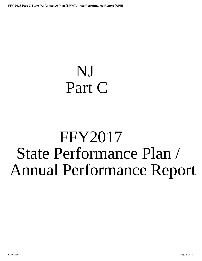# <span id="page-0-0"></span>NJ Part C

# FFY2017 State Performance Plan / Annual Performance Report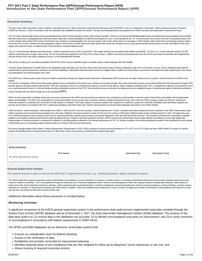### **Executive Summary:**

The New Jersey Early Intervention System (NJEIS) is submitting this Part C State Performance Plan/Annual Performance Plan (SPP/APR), to the U.S. Department of Education, Office of Special Education Programs (OSEP) by February 1, 2019 in accordance with the Individuals with Disabilities Education Act (IDEA). The plan was developed based upon guidance from OSEP and with broad stakeholder involvement and input.

The US Census Bureau (https://www.census.gov/quickfacts/NJ) and the World Population Review (New Jersey Population. (2018-12-12) found at http://worldpopulationreview.com/states/new-jersey-population/) documented that New Jersey (NJ) is a geographically small north eastern state with a diverse population of 8,908,520 according to the July 1, 2018 estimate by the U.S. Census Bureau. New Jersey is the 11th most populous state in the country despite being ranked 47th in terms of total land mass. Despite its small geographic size, for every square mile of New Jersey, there is an average of 1,195.5 people, which makes it the most densely populous state i the country. New Jersey is divided into three geographic regions: North Jersey, Central Jersey and South Jersey. New Jersey has a twenty-one (21) county governmental structure and is one of the only states to have every single county deemed "urban" as defined by the Census Bureau's Combined Statistical area.

The U.S. Census Bureau estimates that New Jersey's median household income in 2017 was \$76,475. The median family income for families with children was \$99,991. The 2017 U.S. Census estimates include 310,305 children under three years of age in New Jersey. The US Census Bureau reported for 2017 that 13.9% of New Jersey's children were below the federal poverty level and 19.2% were living in households with Supplemental Security Income (SSI), cash public assistance income, or Food Stamps/SNAP benefits.

New Jersey is made up of a very diverse population and 30.9% of New Jersey's population aged 5 and older speak a native language other than English.

The New Jersey Department of Health (DOH) is the designated State lead agency for the New Jersey Early Intervention System (NJEIS) established under Part C of the IDEA. As such, DOH is ultimately responsible for implementing its general supervisory authority to ensure the availability of appropriate early intervention services for eligible infants, toddlers and their families in accordance with federal and state requirements. New has participated in the federal program since 1987.

The NJEIS has a referral system point of entry for children and families through four Regional Early Intervention Collaboratives (REICs) that cover the state's twenty-one (21) counties. Grant/Contracts to the REICs and thirteen

(13) Service Coordination Units (SCUs) that provide ongoing service coordination for the twenty-one counties are executed annually. Direct early intervention services are provided by fifty (50) Early Intervention Program ( provider agencies through contracts with the DOH. EIPs are contracted to serve as a comprehensive agency, a service vendor agency, and/or a targeted evaluation team (TET). Comprehensive agencies are expected to serve as an early intervention home for a child and family, providing all identified services on the IFSP. Service vendors serve as a backup in providing services not available through a comprehensive agency. Individual practiti must be enrolled with the NJEIS through one of the contracted EIPs.

REICs are also responsible to facilitate family and community involvement in the NJEIS and assure that local resources are coordinated to assist families to meet the needs of their infants and toddlers with developmental delays and disabilities. The REICs are responsible for ensuring that families have an active voice in decision-making on Regional Boards/Councils. Each of the four REICs employs at least one full-time Training and Technical Assistance Coordinator and one full-time Family Support Coordinator. The Family Support Coordinator positions are required to be staffed by a parent of a child with a disability. Early intervention supports and services are provided in accordance with Part C statute and regulations and NJEIS state rules. Policies and procedures are disseminated statewide and posted on the NJEIS website.

NJEIS received a "Needs Assistance" determination from OSEP in 2016 and 2017 and most recently, a "Meets Requirements" in 2018. Consistent with federal requirements and a directive in the OSEP Determination letter, NJEIS requested and received technical assistance from the Early Childhood Technical Assistance Center (ECTA) and The Center for IDEA Early Childhood Data Systems (DaSy) during FFY 2016. Throughout the year, ECTA technical assistance was received in areas such as: general supervision, policies and procedures, procedural safeguards, SSIP and child and family outcomes. This assistance provided was consistently a valuable addition to the activities conducted and decisions made throughout the year. Based on technical assistance received, NJEIS reviewed and revised family outcome data collection procedures to ensure high quality data. Implementation of revised procedures, increased the confidence in the data quality as reflected in the indicator performance for FFY 16. Another example is the technical assistance provided in the development of new traini on BDI fidelity and on incorporating evidence based practices to enhance child outcome performance.

All of these changes helped NJEIS obtain a "Meets Requirements" determination in 2018. NJEIS continued to access technical assistance in FFY 2017 from ECTA, DaSy and other OSEP funded TA centers for specific projects and identified areas of need,and will continue to utlize these centers as necessary to maintain these programmatic gains.

### **Attachments File Name Uploaded By Uploaded Date** No APR attachments found.

### **General Supervision System:**

The systems that are in place to ensure that IDEA Part C requirements are met, e.g., monitoring systems, dispute resolution systems.

The NJEIS implements a general supervision system that identifies noncompliance, ensures verification of correction in a timely manner in accordance with federal requirements and promotes enhanced performance and results for children and families. This is accomplished through the Monitoring Unit, Procedural Safeguards Office, and the Central Management Office with ongoing activities including data verification, data analysis of performance data, fiscal monitoring, response to disputes, public reporting of data, local determinations, contracts management, personnel development, training, technical assistance, issuing of findings, corrective action verification of correction, on-site focused monitoring, and enforcement. In addition, NJEIS has established and implements a Code of Conduct. All approved providers, administrators, and practitioners are required to review and sign their commitment to follow the provisions of this code.

Additional information about these processes is included below:

### **Monitoring Activities**

A significant component of the NJEIS general supervision system is the performance desk audit process implemented using data compiled through the System Point of Entry (SPOE) database and as of December 1, 2017, the Early Intervention Management System (EIMS) database. The purpose of the data desk audit is to: (1) ensure data in the databases are accurate; (2) to identify noncompliance and areas for improvement; and (3) to verify correction of noncompliance in accordance with federal requirements in OSEP 09-02.

The SPOE and EIMS databases are an electronic central data systems that:

Ensures an unduplicated count for federal reporting;

- Assists in the verification of data;
- Establishes and provides trend data for improvement planning;
- Identifies potential areas of non-compliance that are then targeted for follow-up by telephone, record submission or site visit; and
- Allows tracking of required corrective actions.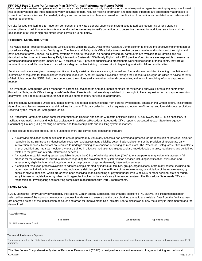Data desk audits review compliance and performance data for selected priority indicators for all counties/provider agencies. An inquiry response format has been developed and implemented to verify accuracy of data, request missing information and determine if barriers are appropriately addressed to correct performance issues. As needed, findings and corrective action plans are issued and verification of correction is completed in accordance with federal requirements.

On-site focused monitoring is an important component of the NJEIS general supervision system used to address reoccurring or long standing noncompliance. In addition, on-site visits are conducted as necessary to verify correction or to determine the need for additional sanctions such as designation of at-risk or high-risk status when correction is not timely.

### **Procedural Safeguards Office**

The NJEIS has a Procedural Safeguards Office, located within the DOH, Office of the Assistant Commissioner, to ensure the effective implementation of procedural safeguards including family rights. The Procedural Safeguards Office helps to ensure that parents receive and understand their rights and have access to formal, as well as informal systems of dispute resolution, as needed. Procedural safeguards are available to all families and are described in the document "New Jersey Early Intervention System (NJEIS) Family Rights". All NJEIS providers/practitioners are responsible to ensure that families understand their rights under Part C. To facilitate NJEIS provider agencies and practitioners working knowledge of these rights, they are all required to successfully complete six procedural safeguard online training modules prior to beginning work with children and families.

Service coordinators are given the responsibility to directly assist families in accessing informal and formal dispute resolution including completion and submission of requests for formal dispute resolution, if desired. A parent liaison is available through the Procedural Safeguards Office to advise parents of their rights under the NJEIS, help them understand the options available to them when disputes arise, and assist in resolving informal disputes as needed.

The Procedural Safeguards Office responds to parent issues/concerns and documents contacts for review and analysis. Parents can contact the Procedural Safeguards Office through a toll-free hotline. Parents who call are always advised of their right to file a request for formal dispute resolution at any time. The Procedural Safeguards Office issues compensatory services as appropriate,

The Procedural Safeguards Office documents informal and formal communications from parents by telephone, emails and/or written letters. This includes date of request, issues, resolutions, and timelines by county. This data collection tracks requests and outcome of informal and formal dispute resolutions received by the Procedural Safeguards Office.

The Procedural Safeguards Office compiles information on disputes and shares with state entities including REICs, SCUs, and EIPs, as necessary to facilitate systematic training and technical assistance. In addition, a Procedural Safeguards Office report is presented at each State Interagency Coordinating Council (SICC) meeting on informal and formal complaints and resulting system responses.

Formal dispute resolution procedures are used to identify and correct non-compliance through:

- A statewide mediation system available to ensure parents may voluntarily access a non-adversarial process for the resolution of individual disputes regarding the NJEIS including identification, evaluation and assessment, eligibility determination, placement or the provision of appropriate early intervention services. Mediators are required to undergo training as a condition of serving as mediators. The Procedural Safeguards Office maintains a list of qualified and impartial mediators who are trained in effective mediation techniques and are knowledgeable in laws, regulations and guidelines related to the provision of early intervention services.
- A statewide impartial hearing system available through the Office of Administrative Law (OAL) to ensure parents may voluntarily access a fair process for the resolution of individual disputes regarding the provision of early intervention services including identification, evaluation and assessment, eligibility determination, placement or the provision of appropriate early intervention services.
- A complaint resolution process available to address complaints filed by individual, families, groups, organizations, or from any source, including an organization or individual from another state, indicating a deficiency(s) in the fulfillment of the requirements, or a violation of the requirements, by public or private agencies, which are or have been receiving financial funding or payment under Part C of IDEA or other pertinent state or federal early intervention legislation; or by other public agencies involved in the state's early intervention system. The Procedural Safeguards Office is responsible for investigating and resolving complaints in accordance with Part C requirements.

### **Family Survey**

NJEIS utilizes the Family Survey developed by the National Center Special Education Accountability Monitoring (NCSEAM). This instrument has been selected because of the rigorous development process it underwent to ensure that the data obtained are valid and reliable. Data from the family survey are analyzed as part of the identification of issues and areas for improvement. See Indicator 4 for a discussion of how the survey is implemented and the data utilized.

| ∣ Attachments             |                  |                    |                      |
|---------------------------|------------------|--------------------|----------------------|
|                           | <b>File Name</b> | <b>Uploaded By</b> | <b>Uploaded Date</b> |
| No APR attachments found. |                  |                    |                      |
|                           |                  |                    |                      |

### **Technical Assistance System:**

The mechanisms that the State has in place to ensure the timely delivery of high quality, evidenced based technical assistance and support to early intervention service (EIS) programs.

The New Jersey Comprehensive System of Personnel Development (CSPD) is designed as a statewide network of regional training and technical 6/19/2019 Page 3 of 49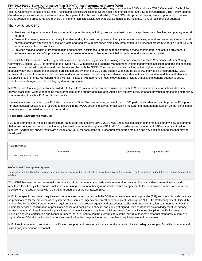assistance coordinators (T&TA) who work at the regional/local provider level under the guidance of the REICs and state CSPD Coordinator. Each of the four REICs employs at least one full-time Training and Technical Assistance Coordinator and one full-time Family Support Coordinator. The Family Support Coordinator positions are required to be staffed by a parent of a child with a disability. The REICs offer provider meetings as an opportunity to review NJEIS policies and procedures and provide training and technical assistance on topics as identified by the state, REIC or local provider agencies.

### The New Jersey CSPD:

- Provides training for a variety of early intervention practitioners, including service coordinators and paraprofessionals; families; and primary referral sources.
- Ensures that training relates specifically to understanding the basic components of early intervention services, federal and state requirements, and how to coordinate transition services for infants and toddlers with disabilities from early intervention to a preschool program under Part B of IDEA or to other early childhood services.
- Provides regional ongoing targeted training and technical assistance to program administrators, service coordinators, and service providers to address areas in need of improvement as well as areas of noncompliance as identified through general supervision activities.

The DOH, NJEIS identified a continuing need to expand to on-line training to meet the training and education needs of NJEIS personnel. Mercer County Community College (MCCC) is contracted to provide NJEIS with access to a Learning Management System that provides access to and tracking of online training to individual administrators and practitioners enrolled with the NJEIS. The contract includes tracking of training/technical assistance modules/webinars, tracking of constituent participation and awarding of CEUs and support Webinars for up to 500 individuals synchronously. NJEIS administrators/practitioners are able to access and view schedules of upcoming live webinars, view descriptions of available modules, and also view job-specific requirements. MercerOnline and Mercer Institute of Management & Technology training provides e-mail and telephone support to assist practitioners with log-in, troubleshooting, system navigation, etc.

NJEIS requires that every practitioner enrolled with the NJEIS have an active email to ensure that the NJEIS can communicate information to the direct service practitioner without neededing the intermediary of the agency administrator. Additinally, the new EIMS database provides methods of electronically communicating to each NJEIS practitioner directly.

Live webinars are conducted by NJEIS staff members on Go-to-Webinar allowing access for up to 500 participants. Mercer Institute provides IT support for each session. Sessions are recorded and stored in the MCCC streaming server, for access via the Learning Management System so that participants have access to recorded versions of the session.

### **Procedural Safeguards Modules**

NJEIS implemented six modules on procedural safeguards and effective July 1, 2014, NJEIS requires completion of the modules for any individual prior to their enrollment and approval to provide early intervention services through the NJEIS. MCCC provides a weekly report to NJEIS on the use of online modules. Additionally, survey results are available to NJEIS for each of the six procedural safeguards modules and any additional modules that may be developed.

| ∣ Attachments             |                  |             |                      |
|---------------------------|------------------|-------------|----------------------|
|                           | <b>File Name</b> | Uploaded By | <b>Uploaded Date</b> |
| No APR attachments found. |                  |             |                      |
|                           |                  |             |                      |

### **Professional Development System:**

The mechanisms the State has in place to ensure that service providers are effectively providing services that improve results for infants and toddlers with disabilities and their families.

The NJEIS has established personnel standards for all practitioners that provide early intervention services. These standards are maintained and monitored for all early intervention practitioners, requiring educational background and licensure as appropriate for each position in the state. Individual practitioners must be enrolled with the NJEIS through one of the contracted EIPs.

NJEIS has specific enrollment requirements for agencies under contract with the DOH as an early intervention provider (EIP) and the individuals they use as practitioners for the provision of early intervention services. Agency and practitioner enrollment is through an NJEIS Central Management Office (CMO) and verified by the CMO vendor. Agency requirements include proof of agency and practitioner liability insurance, certification statement for submitting claims for services, confirmation of practitioner police and background checks, and copies of signed Code of Conduct acknowledgement for agency administrative staff. Requirements for practitioner enrollment include a completed initial enrollment form that includes discipline specific information including degrees, certification and license numbers that are used to confirm current status of the individual to meet personnel standards, a copy of a signed Code of Conduct acknowledgement and verification that the practitioner has completed required pre-enrollment training.

NJEIS staff recruitment, preparation, qualification, support, and retention efforts are conducted to facilitate an adequate supply of qualified, capable and skilled early intervention personnel.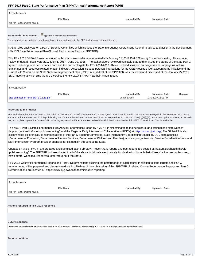| Attachments                                                            |                    |                      |
|------------------------------------------------------------------------|--------------------|----------------------|
| <b>File Name</b>                                                       | <b>Uploaded By</b> | <b>Uploaded Date</b> |
| No APR attachments found.                                              |                    |                      |
|                                                                        |                    |                      |
| Stakeholder Involvement: v apply this to all Part C results indicators |                    |                      |

The mechanism for soliciting broad stakeholder input on targets in the SPP, including revisions to targets.

NJEIS relies each year on a Part C Steering Committee which includes the State Interagency Coordinating Council to advise and assist in the development of NJEIS State Performance Plans/Annual Performance Reports (SPP/APR).

This FFY 2017 SPP/APR was developed with broad stakeholder input obtained at a January 15, 2019 Part C Steering Committee meeting. This included review of data for fiscal year 2017 (July 1, 2017 - June 30, 2018). The stakeholders reviewed available data and analyzed the status of the state Part C system including local performance data and the current targets for FFY 2014-2018. This included discussion on progress and slippage as well as challenges and resources related to each indicator. Discussion included potential implications for the OSEP results driven accountability initiative and the current NJEIS work on the State Systemic Improvement Plan (SSIP). A final draft of the SPP/APR was reviewed and discussed at the January 25, 2019 SICC meeting at which time the SICC certified the FFY 2017 SPP/APR as their annual report.

| <b>Attachments</b>                          |             |                      |        |
|---------------------------------------------|-------------|----------------------|--------|
| <b>File Name</b>                            | Uploaded By | <b>Uploaded Date</b> | Remove |
| sicc certification for nj part c 2.1.19.pdf | Susan Evans | 1/31/2019 12:11 PM   |        |

### **Reporting to the Public:**

How and where the State reported to the public on the FFY 2016 performance of each EIS Program or Provider located in the State on the targets in the SPP/APR as soon as practicable, but no later than 120 days following the State's submission of its FFY 2016 APR, as required by 34 CFR §303.702(b)(1)(i)(A); and a description of where, on its Web site, a complete copy of the State's SPP, including any revision if the State has revised the SPP that it submitted with its FFY 2016 APR in 2018, is available.

The NJEIS Part C State Performance Plan/Annual Performance Report (SPP/APR) is disseminated to the public through posting to the state website (http://nj.gov/health/fhs/eis/public-reporting/) and the Regional Early Intervention Collaboratives (REICs) at http://www.njreic.org/. The SPP/APR is also disseminated electronically to representatives of the Part C Steering Committee, State Interagency Coordinating Council (SICC), state agencies (Department of Education, Department of Human Services, Department of Children and Families), advocacy organizations, Service Coordination Units and Early Intervention Program provider agencies for distribution throughout the State.

Updates on this SPP/APR are prepared and submitted each February. These NJEIS reports and past reports are posted at: http://nj.gov/health/fhs/eis /public-reporting/. The SPP/APR is disseminated to all of the above individuals electronically for distribution through their dissemination mechanisms (e.g., newsletters, websites, list serves, etc) throughout the State.

FFY 2017 County Performance Reports and Part C Determinations outlining the performance of each county in relation to state targets and Part C requirements will be prepared and disseminated within 120 days of the submission of this SPP/APR. Exsisting County Performance Reports and Part C Determinations are located at: https://www.nj.gov/health/fhs/eis/public-reporting/

| <b>Attachments</b>                                                                                                                                                 |                  |                    |                      |
|--------------------------------------------------------------------------------------------------------------------------------------------------------------------|------------------|--------------------|----------------------|
| No APR attachments found.                                                                                                                                          | <b>File Name</b> | <b>Uploaded By</b> | <b>Uploaded Date</b> |
| Actions required in FFY 2016 response                                                                                                                              |                  |                    |                      |
| <b>OSEP Response</b>                                                                                                                                               |                  |                    |                      |
| States were instructed to submit Phase III Year Three of the State Systemic Improvement Plan (SSIP) by April 1, 2019. The State provided the required information. |                  |                    |                      |
| <b>Required Actions</b>                                                                                                                                            |                  |                    |                      |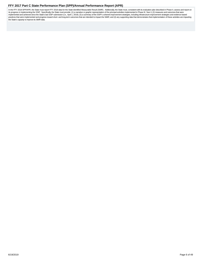<span id="page-5-0"></span>In the FFY 2018 SPP/APR, the State must report FFY 2018 data for the State-identified Measurable Result (SiMR). Additionally, the State must, consistent with its evaluation plan described in Phase II, assess and report on its progress in implementing the SSIP. Specifically, the State must provide: (1) a narrative or graphic representation of the principal activities implemented in Phase III, Year 4; (2) measures and outcomes that were<br>imple practices that were implemented and progress toward short- and long-term outcomes that are intended to impact the SiMR; and (4) any supporting data that demonstrates that implementation of these activities are impacting the State's capacity to improve its SiMR data.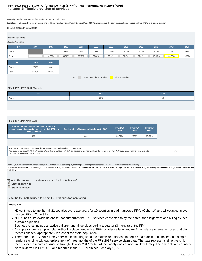### **Indicator 1: Timely provision of services FFY 2017 Part C State Performance Plan (SPP)/Annual Performance Report (APR)**

Monitoring Priority: Early Intervention Services In Natural Environments

**Compliance indicator: Percent of infants and toddlers with Individual Family Service Plans (IFSPs) who receive the early intervention services on their IFSPs in a timely manner.**

### **(20 U.S.C. 1416(a)(3)(A) and 1442)**

| <b>Historical Data</b> |        |        |        |                                    |        |        |                   |        |        |        |        |
|------------------------|--------|--------|--------|------------------------------------|--------|--------|-------------------|--------|--------|--------|--------|
| Baseline Data: 2013    |        |        |        |                                    |        |        |                   |        |        |        |        |
| <b>FFY</b>             | 2004   | 2005   | 2006   | 2007                               | 2008   | 2009   | 2010              | 2011   | 2012   | 2013   | 2014   |
| Target                 |        |        | 100%   | 100%                               | 100%   | 100%   | 100%              | 100%   | 100%   | 100%   | 100%   |
| Data                   |        | 82.30% | 93.20% | 88.17%                             | 97.06% | 92.09% | 92.70%            | 97.12% | 97.10% | 94.58% | 95.12% |
| <b>FFY</b>             | 2015   | 2016   |        |                                    |        |        |                   |        |        |        |        |
| Target                 | 100%   | 100%   |        |                                    |        |        |                   |        |        |        |        |
| Data                   | 93.13% | 94.61% |        |                                    |        |        |                   |        |        |        |        |
|                        |        |        |        | Key: Gray - Data Prior to Baseline |        |        | Yellow - Baseline |        |        |        |        |

### **FFY 2017 - FFY 2018 Targets**

| FFY                 | 2017 | 2018 |
|---------------------|------|------|
| <sup>'</sup> Target | 100% | 100% |

### **FFY 2017 SPP/APR Data**

| Number of infants and toddlers with IFSPs who<br>receive the early intervention services on their IFSPs in<br>a timely manner | Total number of infants and toddlers with IFSPs | <b>FFY 2016</b><br><b>Data</b> | <b>FFY 2017</b><br><b>Target</b> | <b>FFY 2017</b><br><b>Data</b> |
|-------------------------------------------------------------------------------------------------------------------------------|-------------------------------------------------|--------------------------------|----------------------------------|--------------------------------|
| 296                                                                                                                           | 328                                             | 94.61%                         | 100%                             | 97.56%                         |

**Number of documented delays attributable to exceptional family circumstances**

| This number will be added to the "Number of infants and toddlers with IFSPs who receive their early intervention services on their IFSPs in a timely manner" field above to |  |
|-----------------------------------------------------------------------------------------------------------------------------------------------------------------------------|--|
| calculate the numerator for this indicator                                                                                                                                  |  |

Include your State's criteria for "timely" receipt of early intervention services (i.e., the time period from parent consent to when IFSP services are actually initiated). NJEIS established with Part C Steering Committee input, a policy for "timely services" as "All services are provided within 30 calendar days from the date the IFSP is signed by the parent(s) documenting consent for the ser on the IFSP."

**What is the source of the data provided for this indicator?**

 **State monitoring**

 **State database**

**Describe the method used to select EIS programs for monitoring.**

### Sampling Plan:

- NJ continues to monitor all 21 counties every two years for 10 counties in odd numbered FFYs (Cohort A) and 11 counties in even number FFYs (Cohort B).
- NJEIS has a statewide database that authorizes the IFSP services consented to by the parent for assignment and billing by local provider agencies.
- Business rules include all active children and all services during a quarter (3 months) of the FFY.
- A simple random sampling plan without replacement with a 95% confidence level and +/- 5 confidence interval ensures that child records chosen, appropriately represent the state population.
- Therefore, the FFY 2017 timely services monitoring used the statewide database to begin a data desk audit based on a simple random sampling without replacement of three months of the FFY 2017 service claim data. The data represents all active child records for the months of August through October 2017 for ten of the twenty one counties in New Jersey. The other eleven counties were reviewed in FFY 2016 and reported in the APR submitted February 1, 2018.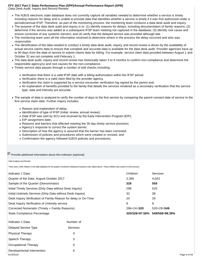Data Desk Audit, Inquiry and Record Review:

- The NJEIS electronic state database does not currently capture all variables needed to determine whether a service is timely including reasons for delay and is unable to provide data that identifies whether a service is timely if it was first authorized under a periodic/annual IFSP. Therefore, as part of the monitoring process, the monitoring team conducts a data desk audit and inquiry.
- The purpose of the data desk audit and inquiry is to: (1) identify reasons for delays, including documentation of family reasons; (2) determine if the service was added at a subsequent IFSP team meeting not captured in the database; (3) identify root cause and ensure correction of any systemic barriers; and (4) verify that the delayed service was provided although late.
- The monitoring team uses all the information received to determine where in the process the delay occurred and who was responsible.
- The identification of the data needed to conduct a timely data desk audit, inquiry, and record review is driven by the availability of actual service claims data to ensure that complete and accurate data is available for the data desk audit. Provider agencies have up to 90 days from the date of service to submit claims data for billing. For example, service claim data provided between August 1 and October 31 are not complete until February 1.
- The data desk audit, inquiry and record review has historically taken 3 to 6 months to confirm non-compliance and determine the responsible agency(s) and root causes for the non-compliance.
- Timely service data passes through a number of edit checks including:
	- Verification that there is a valid IFSP date with a billing authorization within the IFSP period.
	- Verification there is a valid claim filed by the provider agency.
	- Verification the claim is supported by a service encounter verification log signed by the parent and;
	- An explanation of benefits provided to the family that details the services rendered as a secondary verification that the service type, date and intensity are accurate.
- The sample of data is analyzed to verify the number of days to the first service by comparing the parent consent date of service to the first service claim date. Further inquiry includes:
	- Reason and explanation of delay;
	- o Identification of type of IFSP (initial, review, annual review);
	- Date IFSP was sent by SCU and received by the Early Intervention Program (EIP);
	- EIP assignment date;
	- Reasons and barriers that affected meeting the 30 day timely service provision;
	- Agency's response to correct the system barrier;
	- Description of how the agency is assured that the barrier has been corrected;
	- Submission of policies and procedures which were created or revised; and
	- Confirmation the agency followed NJEIS policies and procedures.

### **Provide additional information about this indicator (optional)**

### Data Analysis and Results:

There were 2,395 children in the state database for the quarter monitored meeting the business rules stated above. These children had a total of 4,043 services.

| Indicator 1 Data                                                | Children       | <b>Services</b> |
|-----------------------------------------------------------------|----------------|-----------------|
| Quarter of the Data: August-October 2017                        | 2,395          | 4,043           |
| Sample of the Quarter (Denominator)                             | 328            | 558             |
| Initial Timely Services (Dirty Data without Desk Inquiry)       | 296            | 520             |
| Initial Untimely Services (Dirty Data without Desk Inquiry)     | 32             | 38              |
| Desk Inquiry Verification of Family Reason for delay or On-Time | 24             | 29              |
| Desk Inquiry Verification of Untimely service                   | 8              | 9               |
| Corrected Numerator (Timely + Family Reasons)                   | $296+24=320$   | $520+29=549$    |
| State Compliance Percentage                                     | 320/328=97.56% | 549/558=98.39%  |

| Indicator 1 Data           | Number of       |
|----------------------------|-----------------|
| Delayed Service Type       | <b>Services</b> |
| <b>Physical Therapy</b>    | 0               |
| Speech Therapy             | 3               |
| Occupational Therapy       | 0               |
| Developmental Intervention | 6               |
| 6/19/2019                  |                 |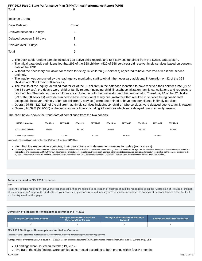| Total                     | 9     |
|---------------------------|-------|
| Indicator 1 Data          |       |
| Days Delayed              | Count |
| Delayed between 1-7 days  | 2     |
| Delayed between 8-14 days | 3     |
| Delayed over 14 days      | 4     |
| Total                     | 9     |

- The desk audit random sample included 328 active child records and 558 services obtained from the NJEIS data system.
- The initial data desk audit identified that 296 of the 328 children (520 of 558 services) did receive timely services based on consent date of the IFSP.
- Without the necessary drill down for reason for delay, 32 children (38 services) appeared to have received at least one service untimely.
- The inquiry was conducted by the lead agency monitoring staff to obtain the necessary additional information on 32 of the 328 children and 38 of their 558 services.
- The results of the inquiry identified that for 24 of the 32 children in the database identified to have received their services late (29 of the 38 services), the delays were child or family related (including child illness/hospitalization, family cancellations and requests to reschedule). The data for these children are included in both the numerator and the denominator. Therefore, 24 of the 32 children (29 of the 38 services) were determined to have exceptional family circumstances that resulted in services being considered acceptable however untimely. Eight (8) children (9 services) were determined to have non-compliance in timely services.
- Overall, 97.56 (320/328) of the children had timely services including 24 children who services were delayed due to a family reason.
- Overall, 98.39% (549/558) of the services were timely including 29 services which were delayed due to a family reason.

The chart below shows the trend data of compliance from the two cohorts:

| <b>NJEIS 21 Counties</b> | FFY 09-10 | FFY 10-11 | FFY 11-12 | FFY 12-13 | FFY 13-14 | FFY 14-15 | FFY 15-16 | FFY 16-17 | <b>FFY 17-18</b> |
|--------------------------|-----------|-----------|-----------|-----------|-----------|-----------|-----------|-----------|------------------|
| Cohort A (10 counties)   | 92.09%    |           | 97.12%    |           | 94.58%    |           | 93.13%    |           | 97.56%           |
| Cohort B (11 counties)   |           | 92.7%     |           | 97.10%    |           | 95.12%    |           | 94.61%    |                  |

As a result of the additional inquiry of the eight (8) children (9 services), NJEIS has:

Identified the responsible agencies, their percentage and determined reasons for delay (root causes).

• Of the eight (8) children for whom one or more services were late, all services were verified to have been started although late. In all instances, the agencies involved were determined to have followed all federal and state policies and procedures and NJEIS reviewed their existing procedures for compliance. Despite each agencies adherence to these required policies and procedures, providers for the services indicated in the eight (8) children's IFSPs were not available. Therefore, according to NJEIS procedures the agencies were not issued findings as correction was verified for both prongs as required.

### **Actions required in FFY 2016 response**

### none

Note: Any actions required in last year's response table that are related to correction of findings should be responded to on the "Correction of Previous Findings of Noncompliance" page of this indicator. If your State's only actions required in last year's response are related to findings of noncompliance, a text field will not be displayed on this page.

### **Correction of Findings of Noncompliance Identified in FFY 2016**

| <b>Findings of Noncompliance Verified as</b><br>Findings of Noncompliance Identified<br>Corrected Within One Year |  | <b>Findings of Noncompliance Subsequently</b><br>Corrected | <b>Findings Not Yet Verified as Corrected</b> |
|-------------------------------------------------------------------------------------------------------------------|--|------------------------------------------------------------|-----------------------------------------------|
|                                                                                                                   |  |                                                            |                                               |

### **FFY 2016 Findings of Noncompliance Verified as Corrected**

Describe how the State verified that the source of noncompliance is correctly implementing the regulatory requirements

Eight (8) findings of noncompliance were issued in FFY 2016 based on monitoring data from FFY 2016 performance. These findings went to three (3) SCU and five (5) EIPs.

All findings were issued on October 19, 2017.

Five (5) of the eight findings were verified as corrected according to both prongs within four (4) months.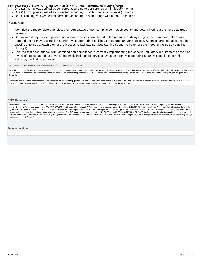- <span id="page-9-0"></span>One (1) finding was verified as corrected according to both prongs within five (5) months.
- One (1) finding was verified as corrected according to both prongs within six (6) months.
- One (1) finding was verified as corrected according to both prongs within nine (9) months.

### NJEIS has:

- Identified the responsible agencies, their percentage of non-compliance in each county and determined reasons for delay (root causes).
- Determined if any policies, procedures and/or practices contributed to the reasons for delays. If yes, the corrective action plan required the agency to establish and/or revise appropriate policies, procedures and/or practices. Agencies are held accountable to specific timelines at each step of the process to facilitate services starting sooner to better ensure meeting the 30 day timeline (Prong 2).
- Ensured that each agency with identified non-compliance is correctly implementing the specific regulatory requirements based on review of subsequent data to verify the timely initiation of services. Once an agency is operating at 100% compliance for this indicator, the finding is closed.

### Describe how the State verified that each individual case of noncompliance was corrected

NJEIS has accounted for all instances of noncompliance identified through the NJEIS database, desk inquiry, and record review. The DOH confirmed that services were initiated for each child, although late for any child whos services were not initiated in a timely manner, unless the child was no longer in the jurisdiction of NJEIS as verified by the monitoring team through claims data, service encounter verification sign-off, and progress note (Prong 1).

Activities for documentation and verification of the correction include reviewing updated data from the database; faxed copies of progress notes and IFSPs from child records; verification of claims and service authorizatio data; and in some cases on-site visits to verify child records. Once an agency is operating at 100% compliance for this indicator, the finding is closed.

### **OSEP Response**

Because the State reported less than 100% compliance for FFY 2017, the State must report on the status of correction of noncompliance identified in FFY 2017 for this indicator. When reporting on the correction of noncompliance, the State must report, in the FFY 2018 SPP/APR, that it has verified that each EIS program or provider with noncompliance identified in FFY 2017 for this indicator: (1) is correctly implementing the specific regulatory requirements (i.e., achieved 100% compliance) based on a review of updated data such as data subsequently collected through on-site monitoring or a State data system; and (2) has corrected each individual case of noncompliance, unless the child is no longer within the jurisdiction of the EIS program or provider, consistent with OSEP Memo 09-02. In the FFY 2018 SPP/APR, the State must describe the specific actions that were taken to verify the correction. If the State did not identify any findings of noncompliance in FFY 2017, although its FFY 2017 data reflect less than 100% compliance, provide an explanation of why the State did not identify any of noncompliance in FFY 2017.

### **Required Actions**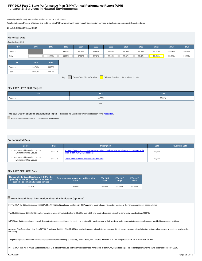### **Indicator 2: Services in Natural Environments FFY 2017 Part C State Performance Plan (SPP)/Annual Performance Report (APR)**

Monitoring Priority: Early Intervention Services In Natural Environments

**Results indicator: Percent of infants and toddlers with IFSPs who primarily receive early intervention services in the home or community-based settings.**

### **(20 U.S.C. 1416(a)(3)(A) and 1442)**

| <b>Historical Data</b>                                                           |        |        |        |        |        |        |        |        |        |        |        |
|----------------------------------------------------------------------------------|--------|--------|--------|--------|--------|--------|--------|--------|--------|--------|--------|
| Baseline Data: 2012                                                              |        |        |        |        |        |        |        |        |        |        |        |
| FFY                                                                              | 2004   | 2005   | 2006   | 2007   | 2008   | 2009   | 2010   | 2011   | 2012   | 2013   | 2014   |
| Target $\geq$                                                                    |        |        | 99.20% | 99.30% | 99.40% | 99.45% | 99.50% | 99.50% | 99.50% | 99.81% | 99.81% |
| Data                                                                             |        | 99.39% | 99.29% | 97.80% | 98.78% | 99.46% | 99.67% | 99.82% | 99.81% | 99.92% | 99.82% |
| <b>FFY</b>                                                                       | 2015   | 2016   |        |        |        |        |        |        |        |        |        |
| Target $\geq$                                                                    | 99.84% | 99.87% |        |        |        |        |        |        |        |        |        |
| Data                                                                             | 99.79% | 99.87% |        |        |        |        |        |        |        |        |        |
| Gray - Data Prior to Baseline<br>Yellow - Baseline<br>Key:<br>Blue - Data Update |        |        |        |        |        |        |        |        |        |        |        |

### **FFY 2017 - FFY 2018 Targets**

| FFY      | 2017   | 2018   |
|----------|--------|--------|
| Target ≥ | 99.89% | 99.92% |
|          | Key:   |        |

### **Targets: Description of Stakeholder Input** - Please see the Stakeholder Involvement section of the *introduction*.

**Enter additional information about stakeholder involvement** 

### **Prepopulated Data**

| <b>Source</b>                                                        | <b>Date</b> | <b>Description</b>                                                                                                                     | <b>Data</b> | <b>Overwrite Data</b> |
|----------------------------------------------------------------------|-------------|----------------------------------------------------------------------------------------------------------------------------------------|-------------|-----------------------|
| SY 2017-18 Child Count/Educational<br><b>Environment Data Groups</b> | 7/11/2018   | Number of infants and toddlers with IFSPs who primarily receive early intervention services in the<br>home or community-based settings | 13.626      |                       |
| SY 2017-18 Child Count/Educational<br><b>Environment Data Groups</b> | 7/11/2018   | Total number of infants and toddlers with IFSPs                                                                                        | 13.644      |                       |

### **FFY 2017 SPP/APR Data**

| Number of infants and toddlers with IFSPs who<br>primarily receive early intervention services in<br>the home or community-based settings | Total number of infants and toddlers with<br><b>IFSPs</b> | <b>FFY 2016</b><br>Data | <b>FFY 2017</b><br><b>Target</b> | <b>FFY 2017</b><br><b>Data</b> |
|-------------------------------------------------------------------------------------------------------------------------------------------|-----------------------------------------------------------|-------------------------|----------------------------------|--------------------------------|
| 13.626                                                                                                                                    | 13.644                                                    | 99.87%                  | 99.89%                           | 99.87%                         |

### **Provide additional information about this indicator (optional)**

In FFY 2017, the 618 data reported (13,626/13,644) 99.87% of infants and toddlers with IFSPs primarily received early intervention services in the home or community-based settings.

The 13,626 included 12,350 children who received services primarily in the home (90.52%) plus 1,276 who received services primarily in community-based settings (9.35%).

NJEIS finds that the requirement, which designates the primary setting as the location where the child receives most of their services, under represents the number of services provided in community setttings.

A review of the December 1 data from FFY 2017 indicated that 992 of the 12,350 that received services primarily in the home and 4 that received services primarily in other settings, also received at least one service in th community.

The percentage of children who received any services in the community is 16.33% ((1232+996)/13,644). This is a decrease of 1.37% compared to FFY 2016, which was 17.70%.

In FFY 2017, 99.87% of infants and toddlers with IFSPs primarily received early intervention services in the home or community-based settings. This percentage remains the same as compared to FFY 2016.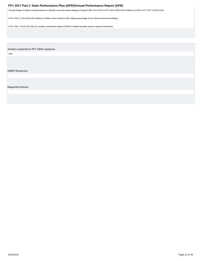<span id="page-11-0"></span>The percentage of children receiving services in primarily community-based settings increased 0.08%, from 9.27% in FFY 2016 (1259/13,579 children) to 9.35% in FFY 2017 (1276/13,644).

In FFY 2017, 0.13% (18/13,644 children) of children were counted in other settings (percentage of non-natural environment settings).

In FFY 2017, 76.19% (16 of the 21) counties exceeded the target of 99.89% of children primarily served in natural environments.

**Actions required in FFY 2016 response**

none

**OSEP Response**

**Required Actions**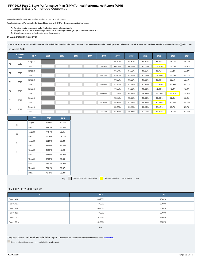### **Indicator 3: Early Childhood Outcomes FFY 2017 Part C State Performance Plan (SPP)/Annual Performance Report (APR)**

Monitoring Priority: Early Intervention Services In Natural Environments

**Results indicator: Percent of infants and toddlers with IFSPs who demonstrate improved:**

- 
- A. Positive social-emotional skills (including social relationships);<br>B. Acquisition and use of knowledge and skills (including early language/ communication); and<br>C. Use of appropriate behaviors to meet their needs.
- 

**(20 U.S.C. 1416(a)(3)(A) and 1442)**

**Does your State's Part C eligibility criteria include infants and toddlers who are at risk of having substantial developmental delays (or "at-risk infants and toddlers") under IDEA section 632(5)(B)(i)? No**

### **Historical Data**

|                | <b>Baseline</b><br>Year | <b>FFY</b>    | 2004 | 2005 | 2006 | 2007 | 2008   | 2009   | 2010   | 2011   | 2012   | 2013   | 2014   |
|----------------|-------------------------|---------------|------|------|------|------|--------|--------|--------|--------|--------|--------|--------|
| A1             | 2012                    | Target $\geq$ |      |      |      |      |        | 56.30% | 58.50% | 58.50% | 58.50% | 38.15% | 38.15% |
|                |                         | Data          |      |      |      |      | 55.31% | 40.54% | 40.29% | 42.61% | 30.62% | 38.15% | 39.87% |
| A2             | 2012                    | Target $\geq$ |      |      |      |      |        | 86.64% | 87.50% | 89.25% | 89.75% | 77.29% | 77.29% |
|                |                         | Data          |      |      |      |      | 86.64% | 89.25% | 85.18% | 83.59% | 79.03% | 77.29% | 80.11% |
| <b>B1</b>      | 2012                    | Target $\geq$ |      |      |      |      |        | 80.39% | 83.00% | 83.00% | 83.00% | 82.59% | 82.59% |
|                |                         | Data          |      |      |      |      | 80.39% | 81.34% | 83.79% | 82.42% | 77.32% | 82.59% | 84.11% |
| <b>B2</b>      | 2013                    | Target $\geq$ |      |      |      |      |        | 60.50% | 64.00% | 68.00% | 72.00% | 45.87% | 45.87% |
|                |                         | Data          |      |      |      |      | 60.12% | 71.49% | 65.99% | 56.43% | 50.73% | 45.87% | 47.54% |
| C <sub>1</sub> | 2012                    | Target $\geq$ |      |      |      |      |        | 92.72% | 95.00% | 95.00% | 95.00% | 92.85% | 92.85% |
|                |                         | Data          |      |      |      |      | 92.72% | 95.16% | 93.97% | 89.45% | 92.25% | 92.85% | 93.43% |
| C <sub>2</sub> |                         | Target $\geq$ |      |      |      |      |        | 85.44% | 86.50% | 88.50% | 91.12% | 78.75% | 78.75% |
|                | 2012                    | Data          |      |      |      |      | 85.44% | 91.12% | 85.85% | 83.07% | 80.37% | 78.75% | 80.23% |

|                | <b>FFY</b>    | 2015   | 2016   |
|----------------|---------------|--------|--------|
| A1             | Target $\geq$ | 39.85% | 41.55% |
|                | Data          | 39.63% | 43.34% |
| A <sub>2</sub> | Target $\geq$ | 77.97% | 78.65% |
|                | Data          | 77.36% | 79.12% |
| <b>B1</b>      | Target $\geq$ | 83.20% | 83.80% |
|                | Data          | 82.54% | 85.33% |
| <b>B2</b>      | Target $\geq$ | 46.90% | 47.90% |
|                | Data          | 46.65% | 49.93% |
| C <sub>1</sub> | Target $\geq$ | 92.85% | 92.88% |
|                | Data          | 93.01% | 94.92% |
| C <sub>2</sub> | Target $\geq$ | 79.81% | 80.87% |
|                | Data          | 79.79% | 79.80% |

Key: Gray – Data Prior to Baseline Yellow – Baseline Blue – Data Update

### **FFY 2017 - FFY 2018 Targets**

| FFY              | 2017   | 2018   |  |  |  |  |  |
|------------------|--------|--------|--|--|--|--|--|
| Target $A1 \geq$ | 43.25% | 45.00% |  |  |  |  |  |
| Target $A2 \geq$ | 79.33% | 80.00% |  |  |  |  |  |
| Target B1 $\geq$ | 84.40% | 85.00% |  |  |  |  |  |
| Target $B2 \geq$ | 49.02% | 50.00% |  |  |  |  |  |
| Target C1 $\geq$ | 92.88% | 93.00% |  |  |  |  |  |
| Target $C2 \geq$ | 81.93% | 83.00% |  |  |  |  |  |
| Key:             |        |        |  |  |  |  |  |

**Targets: Description of Stakeholder Input** - Please see the Stakeholder Involvement section of the introduction.

Enter additional information about stakeholder involvement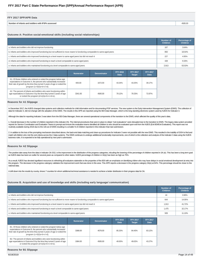| FFY 2017 SPP/APR Data                              |         |
|----------------------------------------------------|---------|
| Number of infants and toddlers with IFSPs assessed | 4585.00 |

### **Outcome A: Positive social-emotional skills (including social relationships)**

|                                                                                                                                 | Number of<br><b>Children</b> | Percentage of<br><b>Children</b> |
|---------------------------------------------------------------------------------------------------------------------------------|------------------------------|----------------------------------|
| a. Infants and toddlers who did not improve functioning                                                                         | 167                          | 3.64%                            |
| b. Infants and toddlers who improved functioning but not sufficient to move nearer to functioning comparable to same-aged peers | 850                          | 18.54%                           |
| c. Infants and toddlers who improved functioning to a level nearer to same-aged peers but did not reach it                      | 227                          | 4.95%                            |
| d. Infants and toddlers who improved functioning to reach a level comparable to same-aged peers                                 | 428                          | 9.33%                            |
| e. Infants and toddlers who maintained functioning at a level comparable to same-aged peers                                     | 2,913                        | 63.53%                           |

|                                                                                                                                                                                                                                                  | <b>Numerator</b> | <b>Denominator</b> | <b>FFY 2016</b><br><b>Data</b> | <b>FFY 2017</b><br><b>Target</b> | <b>FFY 2017</b><br>Data |
|--------------------------------------------------------------------------------------------------------------------------------------------------------------------------------------------------------------------------------------------------|------------------|--------------------|--------------------------------|----------------------------------|-------------------------|
| A1. Of those children who entered or exited the program below age<br>expectations in Outcome A, the percent who substantially increased<br>their rate of growth by the time they turned 3 years of age or exited the<br>program (c+d)/(a+b+c+d). | 655.00           | 1672.00            | 43.34%                         | 43.25%                           | 39.17%                  |
| A2. The percent of infants and toddlers who were functioning within<br>age expectations in Outcome A by the time they turned 3 years of age<br>or exited the program (d+e)/(a+b+c+d+e).                                                          | 3341.00          | 4585.00            | 79.12%                         | 79.33%                           | 72.87%                  |

### **Reasons for A1 Slippage**

In December 2017, the NJEIS changed data systems and collection methods for child information and for documenting IFSP services. The new system is the Early Intervention Management System (EIMS). The collection of data for Indicator 3, did not change with the adoption of the EIMS. The results in this APR are reported using the BDI Data Manager, which is the long standing electronic system used by NJEIS for Indicator 3.

Although the data for reporting Indicator 3 was taken from the BDI Data Manager, there are several operational components of the tranistion to the EIMS, which affected the quality of this year's data.

1. Overall decrease in the number of children reported in this indicator (N). The internal procedures that were in place to obtain "exit evaluations" were disrupted due to the transition to EIMS. The legacy data system pro reports for Service Coordination and Evaluation Teams to prompt and ensure the evaluation teams identified all children to who should be evaluated upon exit from the NJEIS (Exit BDI/Exit Evaluation). This report was not routinely available during 2018 due to the roll-out of EIMS resulting in a smaller N of children reported in this indicator than last submission.

2. In addtion to the loss of the prompting mechansim described above, the back-end data matching and clean-up procedures for Indicator 3 were not possible with the new EIMS. This resulted in the inabiltiy of DOH to find and match all children who met the exit criteria across the 2 data systems. The EIMS continues to undergo additional functionality improvements, one of which is the collection and analysis of the Indicator 3 data using the NJE buisness rules. It is expected to be fully operational by next year's submission.

### **Reasons for A2 Slippage**

The positive take away from the data in Indicator 3A SS2, is the improvment in the distribution of the progress categories, inlcuding the lowering of the percentage of children reported in 3A (e). This has been a long term as NJEIS data has been an outlier for several years as compared to other states. NJEIS percentage of children in 3A(e) has been as high as 75%.

As a result, NJEIS has devoted signifianct resources to refreshing all evaluators statewide on the properties of the BDI with an emphaisis on identifying chilren who may have delays in social emotional development at entry the program. The decrease in the progress catergory validates the improvement work that was done in this area. This APR reports a decrease in the progress category 3A(e) at 64%. This percentage should be closer to the national data.

A drill down into the results by county, shows 7 counties for whom additional technical assistance is needed to achieve a better distribution in their progess data for 3A.

### **Outcome B. Acquisition and use of knowledge and skills (including early language/ communication)**

|                                                                                                                                 | Number of<br><b>Children</b> | Percentage of<br><b>Children</b> |
|---------------------------------------------------------------------------------------------------------------------------------|------------------------------|----------------------------------|
| a. Infants and toddlers who did not improve functioning                                                                         | 44                           | 0.96%                            |
| b. Infants and toddlers who improved functioning but not sufficient to move nearer to functioning comparable to same-aged peers | 644                          | 14.05%                           |
| c. Infants and toddlers who improved functioning to a level nearer to same-aged peers but did not reach it                      | 1.913                        | 41.72%                           |
| d. Infants and toddlers who improved functioning to reach a level comparable to same-aged peers                                 | 1.475                        | 32.17%                           |
| e. Infants and toddlers who maintained functioning at a level comparable to same-aged peers                                     | 509                          | 11.10%                           |

|                                                                                                                                                                                                                                                  | <b>Numerator</b> | <b>Denominator</b> | <b>FFY 2016</b><br><b>Data</b> | <b>FFY 2017</b><br><b>Target</b> | <b>FFY 2017</b><br>Data |
|--------------------------------------------------------------------------------------------------------------------------------------------------------------------------------------------------------------------------------------------------|------------------|--------------------|--------------------------------|----------------------------------|-------------------------|
| B1. Of those children who entered or exited the program below age<br>expectations in Outcome B, the percent who substantially increased<br>their rate of growth by the time they turned 3 years of age or exited the<br>program (c+d)/(a+b+c+d). | 3388.00          | 4076.00            | 85.33%                         | 84.40%                           | 83.12%                  |
| B2. The percent of infants and toddlers who were functioning within<br>age expectations in Outcome B by the time they turned 3 years of age<br>or exited the program (d+e)/(a+b+c+d+e).                                                          | 1984.00          | 4585.00            | 49.93%                         | 49.02%                           | 43.27%                  |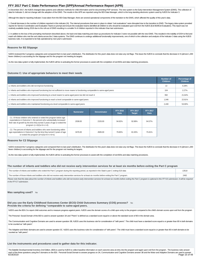In December 2017, the NJEIS changed data systems and collection methods for child information and for documenting IFSP services. The new system is the Early Intervention Management System (EIMS). The collection of data for Indicator 3, did not change with the adoption of the EIMS. The results in this APR are reported using the BDI Data Manager, which is the long standing electronic system used by NJEIS for Indicator 3.

Although the data for reporting Indicator 3 was taken from the BDI Data Manager, there are several operational components of the tranistion to the EIMS, which affected the quality of this year's data.

1. Overall decrease in the number of children reported in this indicator (N). The internal procedures that were in place to obtain "exit evaluations" were disrupted due to the transition to EIMS. The legacy data system pro reports for Service Coordination and Evaluation Teams to prompt and ensure the evaluation teams identified all children to who should be evaluated upon exit from the NJEIS (Exit BDI/Exit Evaluation). This report was not routinely available during 2018 due to the roll-out of EIMS resulting in a smaller N of children reported in this indicator than last submission.

2. In addtion to the loss of the prompting mechansim described above, the back-end data matching and clean-up procedures for Indicator 3 were not possible with the new EIMS. This resulted in the inabiltiy of DOH to find and match all children who met the exit criteria across the 2 data systems. The EIMS continues to undergo additional functionality improvements, one of which is the collection and analysis of the Indicator 3 data using the NJE buisness rules. It is expected to be fully operational by next year's submission.

### **Reasons for B2 Slippage**

NJEIS reviewed the 5 progress categories and compared them to last year's distribution. The distribution for this year's data does not raise any red flags. This leave the NJEIS to conclude that the decrease in N (almost 1, fewer children) is accounting for the slippage and for the program not meeting its targets.

As the new data system is fully implemented, the NJEIS will be re-activating the former processes to assist with the completion of exit BDIs and data matching procedures.

### **Outcome C: Use of appropriate behaviors to meet their needs**

|                                                                                                                                 | Number of<br><b>Children</b> | Percentage of<br><b>Children</b> |
|---------------------------------------------------------------------------------------------------------------------------------|------------------------------|----------------------------------|
| a. Infants and toddlers who did not improve functioning                                                                         | 13                           | 0.28%                            |
| b. Infants and toddlers who improved functioning but not sufficient to move nearer to functioning comparable to same-aged peers | 104                          | 2.27%                            |
| c. Infants and toddlers who improved functioning to a level nearer to same-aged peers but did not reach it                      | 992                          | 21.64%                           |
| d. Infants and toddlers who improved functioning to reach a level comparable to same-aged peers                                 | 1.046                        | 22.81%                           |
| e. Infants and toddlers who maintained functioning at a level comparable to same-aged peers                                     | 2.430                        | 53.00%                           |

|                                                                                                                                                                                                                                                  | <b>Numerator</b> | <b>Denominator</b> | <b>FFY 2016</b><br>Data | <b>FFY 2017</b><br><b>Target</b> | <b>FFY 2017</b><br>Data |
|--------------------------------------------------------------------------------------------------------------------------------------------------------------------------------------------------------------------------------------------------|------------------|--------------------|-------------------------|----------------------------------|-------------------------|
| C1. Of those children who entered or exited the program below age<br>expectations in Outcome C, the percent who substantially increased<br>their rate of growth by the time they turned 3 years of age or exited the<br>program (c+d)/(a+b+c+d). | 2038.00          | 2155.00            | 94.92%                  | 92.88%                           | 94.57%                  |
| C2. The percent of infants and toddlers who were functioning within<br>age expectations in Outcome C by the time they turned 3 years of age<br>or exited the program (d+e)/(a+b+c+d+e).                                                          | 3476.00          | 4585.00            | 79.80%                  | 81.93%                           | 75.81%                  |

### **Reasons for C2 Slippage**

NJEIS reviewed the 5 progress categories and compared them to last year's distribution. The distribution for this year's data does not raise any red flags. This leave the NJEIS to conclude that the decrease in N (almost 1, fewer children) is accounting for the slippage and for the program not meeting its targets.

As the new data system is fully implemented, the NJEIS will be re-activating the former processes to assist with the completion of exit BDIs and data matching procedures.

### **The number of infants and toddlers who did not receive early intervention services for at least six months before exiting the Part C program**

| The number of infants and toddlers who exited the Part C program during the reporting period, as reported in the State's part C exiting 618 data    |  |
|-----------------------------------------------------------------------------------------------------------------------------------------------------|--|
| The number of those infants and toddlers who did not receive early intervention services for at least six months before exiting the Part C program. |  |

Please note that this data about the number of infants and toddlers who did not receive early intervention services for at least six months before exiting the Part C program is optional in this FFY16 submission. It will be in the FFY17 submission.

### **Was sampling used?** No

**Did you use the Early Childhood Outcomes Center (ECO) Child Outcomes Summary (COS) process?** No **Provide the criteria for defining "comparable to same-aged peers.**

NJEIS uses the BDI-2 to report child outcomes and to measure progress against peers. NJEIS uses the domain scores of a child upon entry to the program compared to the child's domain scores upon exit from the program

The Personal -Social Domain of the BDI is used to answer question 3A and "Peers" is defined as a standard score equal to or above the standard score of 80 in the domain area.

The Communication and Cognitive Domains are used to answer question 3B, NJEIS uses this business rule for consideration of "with peers": The child must have a standard score equal to or greater than 80 in both domains to be counted as "with peers".

The Adaptive and Motor domains are used to answer question 3C. NJEIS uses this business rules for consideration of "with peers": The child must have a standard score equal to or greater than 80 in both domains to be counted as "with peers".

### **List the instruments and procedures used to gather data for this indicator.**

The Battelle Developmnental Inventory 2nd Edition, (BDI) is used by NJEIS to collect baseline information on each outcome area at entry into the program and again upon exit from the program. The business rules answer each of the three questions using the 5 domains on the BDI. Personal-Social Domain to answer progress on 3A, Communication and Cognitive Domains answer 3B and the Motor and Adaptive Domains are used to answer and Adaptive 6/19/2019 Page 15 of 49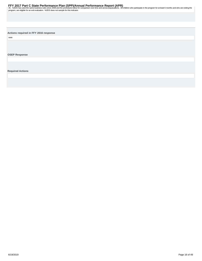<span id="page-15-0"></span>3C. NJEIS has used the same business rules since 2008 and the procedures allow for comparison over time and across populuations. All children who participate in the program for at least 6 months and who are exiting the<br>pro

**Actions required in FFY 2016 response**

none

**OSEP Response**

**Required Actions**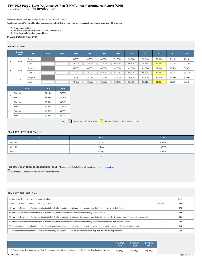### **Indicator 4: Family Involvement FFY 2017 Part C State Performance Plan (SPP)/Annual Performance Report (APR)**

Monitoring Priority: Early Intervention Services In Natural Environments

**Results indicator: Percent of families participating in Part C who report that early intervention services have helped the family:**

- **A. Know their rights;**
- **B. Effectively communicate their children's needs; and C. Help their children develop and learn.**

**(20 U.S.C. 1416(a)(3)(A) and 1442)**

### **Historical Data**

|        | <b>Baseline</b><br>Year | <b>FFY</b>    | 2004 | 2005 | 2006   | 2007   | 2008   | 2009   | 2010   | 2011   | 2012   | 2013   | 2014   |
|--------|-------------------------|---------------|------|------|--------|--------|--------|--------|--------|--------|--------|--------|--------|
| A      | 2012                    | Target $\geq$ |      |      | 59.90% | 64.00% | 68.00% | 71.00% | 73.01% | 73.01% | 75.00% | 71.18% | 71.18% |
|        |                         | Data          |      |      | 59.90% | 67.10% | 71.60% | 66.80% | 69.60% | 70.86% | 69.37% | 71.18% | 72.78% |
| в      | 2012                    | Target $\geq$ |      |      | 55.60% | 60.00% | 64.00% | 67.50% | 69.88% | 69.88% | 72.00% | 66.67% | 66.67% |
|        |                         | Data          |      |      | 55.60% | 63.20% | 68.40% | 63.90% | 65.20% | 68.86% | 64.77% | 66.67% | 69.11% |
| $\sim$ |                         | Target $\geq$ |      |      | 70.40% | 73.00% | 74.50% | 75.50% | 76.96% | 83.80% | 85.00% | 83.09% | 83.09% |
| U      | 2012                    | Data          |      |      | 70.40% | 80.80% | 83.80% | 83.40% | 82.70% | 81.84% | 80.96% | 83.09% | 83.42% |

|   | <b>FFY</b>    | 2015   | 2016   |
|---|---------------|--------|--------|
| А | Target $\geq$ | 72.14% | 73.09% |
|   | Data          | 66.22% | 78.78% |
| в | Target $\geq$ | 67.50% | 68.34% |
|   | Data          | 62.85% | 75.55% |
| c | Target $\geq$ | 83.57% | 84.05% |
|   | Data          | 82.29% | 88.96% |

Key: Gray – Data Prior to Baseline Vellow – Baseline Blue – Data Update

### **FFY 2017 - FFY 2018 Targets**

| 2017   | 2018   |
|--------|--------|
| 74.05% | 75.00% |
| 69.17% | 70.00% |
| 84.52% | 85.00% |
|        |        |

Key:

### **Targets: Description of Stakeholder Input** - Please see the Stakeholder Involvement section of the *introduction*.

**Enter additional information about stakeholder involvement** 

### **FFY 2017 SPP/APR Data**

| Number of families to whom surveys were distributed                                                                                                                         | 4,214 |
|-----------------------------------------------------------------------------------------------------------------------------------------------------------------------------|-------|
| Number of respondent families participating in Part C<br>14.93%                                                                                                             | 629   |
| A1. Number of respondent families participating in Part C who report that early intervention services have helped the family know their rights                              | 475   |
| A2. Number of responses to the question of whether early intervention services have helped the family know their rights                                                     | 629   |
| B1. Number of respondent families participating in Part C who report that early intervention services have helped the family effectively communicate their children's needs | 459   |
| B2. Number of responses to the question of whether early intervention services have helped the family effectively communicate their children's needs                        | 629   |
| C1. Number of respondent families participating in Part C who report that early intervention services have helped the family help their children develop and learn          | 535   |
| C2. Number of responses to the question of whether early intervention services have helped the family help their children develop and learn                                 | 629   |

|                                                                                                                              | <b>FFY 2016</b><br><b>Data</b> | <b>FFY 2017</b><br><b>Target</b> | <b>FFY 2017</b><br><b>Data</b> |
|------------------------------------------------------------------------------------------------------------------------------|--------------------------------|----------------------------------|--------------------------------|
| A. Percent of families participating in Part C who report that early intervention services have helped the family know their | 78.78%                         | 74.05%                           | 75.52%                         |
| 6/19/2019                                                                                                                    |                                |                                  |                                |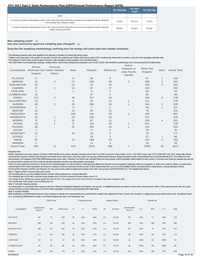|                                                                                                                                                                     | <b>FFY 2016 Data</b> | <b>FFY 2017</b><br><b>Target</b> | FFY 2017 Data |
|---------------------------------------------------------------------------------------------------------------------------------------------------------------------|----------------------|----------------------------------|---------------|
| rights                                                                                                                                                              |                      |                                  |               |
| B. Percent of families participating in Part C who report that early intervention services have helped the family effectively<br>communicate their children's needs | 75.55%               | 69.17%                           | 72.97%        |
| C. Percent of families participating in Part C who report that early intervention services have helped the family help their<br>children develop and learn          | 88.96%               | 84.52%                           | 85.06%        |

### **Was sampling used?** Yes

**Has your previously-approved sampling plan changed?** No

**Describe the sampling methodology outlining how the design will yield valid and reliable estimates.**

The following business rules were applied in the selection of families to receive the family survey.

Children must have been in the system for at least 9 months from referral; and Children that had an active IFSP or exited early intervention 3 months or less from the population selection date.

The analysis of NJEIS data using the above business rules identified a total population size of 6,859 families.

The NJEIS filters out all duplicates (siblings, multiple births). NJEIS total unduplicated population size is 6,627 (6,607 with identified race/ethnicity) and is documented by the table below.

|                    |                     |                                                     |       |                |                | Native                                   |                       |                |                    |
|--------------------|---------------------|-----------------------------------------------------|-------|----------------|----------------|------------------------------------------|-----------------------|----------------|--------------------|
| CountyName         | African<br>Hispanic | American<br>American/ Not Indian/ Alaskan<br>Native | Asian | Hispanic       | Multiracial    | Hawaiian or<br>other Pacific<br>Islander | White/Not<br>Hispanic | <b>NULL</b>    | <b>Grand Total</b> |
| <b>ATLANTIC</b>    | 17                  |                                                     | 8     | 58             | 9              |                                          | 67                    | 1              | 160                |
| <b>BERGEN</b>      | 21                  | 3                                                   | 71    | 230            | 36             | $\overline{2}$                           | 288                   | $\overline{2}$ | 653                |
| <b>BURLINGTON</b>  | 32                  |                                                     | 13    | 31             | 16             |                                          | 159                   | $\overline{2}$ | 253                |
| <b>CAMDEN</b>      | 27                  |                                                     | 14    | 87             | 27             |                                          | 135                   |                | 291                |
| <b>CAPE MAY</b>    | $\overline{2}$      |                                                     |       | 8              | 5              |                                          | 28                    |                | 44                 |
| <b>CUMBERLAND</b>  | 12                  |                                                     |       | 57             | $\overline{4}$ |                                          | 25                    |                | 98                 |
| <b>ESSEX</b>       | 217                 | $\overline{2}$                                      | 28    | 317            | 19             |                                          | 160                   | 5              | 748                |
| <b>GLOUCESTER</b>  | 13                  |                                                     | 4     | 25             | 12             |                                          | 121                   |                | 176                |
| <b>HUDSON</b>      | 26                  | 2                                                   | 65    | 296            | 25             |                                          | 104                   |                | 520                |
| <b>HUNTERDON</b>   | $\mathbf{1}$        |                                                     | 4     | $\overline{7}$ | $\mathbf{1}$   |                                          | 49                    |                | 63                 |
| <b>MERCER</b>      | 31                  |                                                     | 13    | 81             | 12             |                                          | 78                    |                | 215                |
| <b>MIDDLESEX</b>   | 41                  |                                                     | 109   | 241            | 20             | 1                                        | 189                   |                | 601                |
| <b>MONMOUTH</b>    | 22                  |                                                     | 15    | 130            | 24             |                                          | 237                   |                | 429                |
| <b>MORRIS</b>      | 8                   |                                                     | 31    | 87             | 11             |                                          | 159                   | $\overline{4}$ | 301                |
| <b>OCEAN</b>       | 14                  |                                                     | 5     | 114            | 19             |                                          | 641                   |                | 795                |
| <b>PASSAIC</b>     | 28                  |                                                     | 24    | 296            | 24             |                                          | 151                   |                | 524                |
| <b>SALEM</b>       | $\overline{1}$      |                                                     |       | $\overline{4}$ | $\overline{2}$ |                                          | 29                    |                | 36                 |
| SOMERSET           | 12                  |                                                     | 25    | 54             | $\overline{7}$ |                                          | 79                    |                | 177                |
| <b>SUSSEX</b>      | $\mathbf{1}$        |                                                     |       | 24             | 3              |                                          | 57                    |                | 86                 |
| <b>UNION</b>       | 67                  |                                                     | 14    | 186            | 19             |                                          | 133                   | 3              | 422                |
| <b>WARREN</b>      |                     |                                                     |       | 12             | 3              |                                          | 19                    |                | 35                 |
| <b>Grand Total</b> | 594                 | 11                                                  | 444   | 2345           | 298            | $\overline{7}$                           | 2908                  | 20             | 6627               |

### Sampling Plan

NJEIS conducted a two year analysis of historic NJEIS family survey data to identify a potential return rate in an effort to prevent a high margin of error. The NJEIS return rate in FFY 2006-2007 was 15%. Historically, Afr American/Not Hispanic (AA/NH) and Hispanic (H) families have lower return rates than other race groups (White/Asian/American Indian/Hawaiian-Pacific Islander/Multi Race) (W/A/AI/HI/PI/MULTI). This difference was documented in the analysis of the 2005-2006 family survey return rates. Therefore, the NJEIS over sampled these two race groups. NJEIS population varies widely for each county. A minimum and maximum sample size was set to ensure that the sample size from small and densely populated counties was appropriately represented.

NJEIS not only wanted to examine the results for the overall population, but also wanted to understand the differences between key demographic subgroups within the population. In order to be certain to obtain a sample that representative of the NJEIS population and based on analysis results from previous family surveys, NJEIS implemented the use of a county stratified random sampling without replacement, unequal allocation African<br>American/N

Step 1: Target number of survey returns per county.

The sampling plan is a county stratified random sample without replacement, unequal allocation.

The sampling rate is 20% with a minimal county stratum size of 20 and a maximum county stratum size of 75.

The margin of error (MOE) per county varied from 11% to 21%. The margin of error for 14 out of the 21 counties is less than or equal to 18%.

The overall state wide margin of error (MOE) was 4%.

Step 2: Calculate outgoing sample.

To compensate for a projected lower response rate from African American/Not Hispanic and Hispanic race groups, an additional sample was drawn in each of the county stratum. With a 20% expected return rate, the actual number of family surveys mailed was 4,214 for the NJEIS population of 6,607 as documented by the table below. Step 3: Analysis Weights

Both stratification and differential response cause samples to deviate from representativeness and therefore weights were adjusted for both. As part of the analysis, a weight inverse was implemented to the: Sampling Fraction (s.f.) (Including all differentials in target n and field sampling rate (fsr)); and Response rate. Child Count Expected returns design effects Sample out

|                   |                        | _ _ _ _ _ |             |    |      |            |     |          |                        |        |     |        |       |
|-------------------|------------------------|-----------|-------------|----|------|------------|-----|----------|------------------------|--------|-----|--------|-------|
| CountyName        | W/AI/A/HI/PI<br>/MULTI | B/H       | Child count | N  | s.f. | <b>MOE</b> | wt  | wt-norm  | W/AI/A/HI/PI<br>/MULTI | f.s.r. | B/H | f.s.r. | total |
| <b>ATLANTIC</b>   | 84                     | 75        | 159         | 20 | 13%  | 20%        | 0.8 | $1.E-03$ | 53                     | 63%    | 71  | 95%    | 124   |
| <b>BERGEN</b>     | 400                    | 251       | 651         | 65 | 10%  | 12%        | 1.0 | $2.E-03$ | 200                    | 50%    | 188 | 75%    | 388   |
| <b>BURLINGTON</b> | 188                    | 63        | 251         | 25 | 10%  | 19%        | 1.0 | $2.E-03$ | 94                     | 50%    | 47  | 75%    | 141   |
| <b>CAMDEN</b>     | 177                    | 114       | 291         | 29 | 10%  | 17%        | 1.0 | $2.E-03$ | 88                     | 50%    | 85  | 75%    | 173   |

CAPE MAY 34 10 44 20 45% 16% 0.2 3.E-04 34 100% 10 100% 44 CUMBERLAND 29 69 98 20 20% 20% 0.5 7.E-04 29 100% 69 100% 98 ESSEX 209 534 743 74 10% 11% 1.0 2.E-03 104 50% 399 75% 503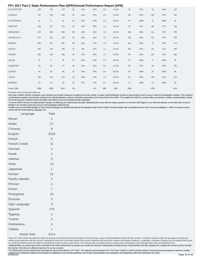| <b>GLOUCESTER</b>  | 138  | 38   | 176  | 20              | 11% | 21% | 0.9     | $1.E-03$ | 78   | 57%  | 32   | 84%  | 110  |  |
|--------------------|------|------|------|-----------------|-----|-----|---------|----------|------|------|------|------|------|--|
| <b>HUDSON</b>      | 197  | 322  | 519  | 52              | 10% | 13% | $1.0\,$ | $2.E-03$ | 99   | 50%  | 242  | 75%  | 341  |  |
| <b>HUNTERDON</b>   | 54   | 8    | 62   | 20              | 32% | 18% | $0.3\,$ | $5.E-04$ | 54   | 100% | 8    | 100% | 62   |  |
| <b>MERCER</b>      | 103  | 112  | 215  | 22              | 10% | 20% | $1.0\,$ | $1.E-03$ | 53   | 51%  | 86   | 77%  | 139  |  |
| <b>MIDDLESEX</b>   | 319  | 282  | 601  | 60              | 10% | 12% | 1.0     | $2.E-03$ | 159  | 50%  | 211  | 75%  | 370  |  |
| <b>MONMOUTH</b>    | 277  | 152  | 429  | 43              | 10% | 14% | $1.0\,$ | $2.E-03$ | 139  | 50%  | 114  | 75%  | 253  |  |
| <b>MORRIS</b>      | 202  | 95   | 297  | 30 <sup>°</sup> | 10% | 17% | $1.0\,$ | $1.E-03$ | 102  | 50%  | 72   | 76%  | 174  |  |
| <b>OCEAN</b>       | 667  | 128  | 795  | 75              | 9%  | 11% | 1.1     | $2.E-03$ | 315  | 47%  | 91   | 71%  | 406  |  |
| <b>PASSAIC</b>     | 200  | 324  | 524  | 52              | 10% | 13% | 1.0     | $2.E-03$ | 99   | 50%  | 241  | 74%  | 340  |  |
| <b>SALEM</b>       | 31   | 5    | 36   | 20              | 56% | 15% | 0.2     | $3.E-04$ | 31   | 100% | 5    | 100% | 36   |  |
| SOMERSET           | 111  | 66   | 177  | 20              | 11% | 21% | 0.9     | $1.E-03$ | 63   | 57%  | 56   | 85%  | 119  |  |
| <b>SUSSEX</b>      | 60   | 25   | 85   | 20              | 24% | 19% | 0.4     | $6.E-04$ | 60   | 100% | 25   | 100% | 85   |  |
| <b>UNION</b>       | 166  | 253  | 419  | 42              | 10% | 14% | $1.0\,$ | $2.E-03$ | 83   | 50%  | 190  | 75%  | 273  |  |
| <b>WARREN</b>      | 22   | 13   | 35   | 20              | 57% | 14% | 0.2     | $3.E-04$ | 22   | 100% | 13   | 100% | 35   |  |
| <b>Grand Total</b> | 3668 | 2939 | 6607 | 749             |     | 4%  | 688     | 688      | 1959 |      | 2255 |      | 4214 |  |

Promotion of the survey and Follow-up

Each year, families mail the completed survey directly to an outside contractor to analyze the survey results. A unique child identification number is documented on each survey to allow for demographic analysis. The contra conducting the analysis only provides a listing of the child identification numbers of families responding to the survey back to the NJEIS. This enables the NJEIS to conduct follow-up activities to obtain a representative At no time does the contractor share information with NJEIS on how any individual family responded.

To ensure NJEIS receives the representative sample, the following are implemented annually: Distributing the survey with the impact questions on one form with English on one side and Spanish on the other side so that all families in the sample receive the survey in both languages (attachments).

Families who do not identify English as their primary language are identified through the demographic data and the NJEIS: Provides families with a translated version of the survey (if available); or offers to conduct a pho survey with the family utilizing Language Line.

| Language             | Total          |
|----------------------|----------------|
| African              | $\overline{2}$ |
| Arabic               | 17             |
| Chinese              | 9              |
| English              | 3323           |
| French               | 5              |
| <b>French Creole</b> | 11             |
| German               | 1              |
| Greek                | 1              |
| Hebrew               | 3              |
| Hindi                | 14             |
| Japanese             | 1              |
| Korean               | 11             |
| Pacific Islander     | 1              |
| Persian              | 1              |
| Polish               | $\overline{7}$ |
| Portuguese           | 15             |
| Russian              | 3              |
| Sign Language        | 3              |
| Spanish              | 775            |
| Tagalog              | $\overline{1}$ |
| Turkish              | 5              |
| Vietnamese           | $\overline{4}$ |
| Yiddish              | 1              |
| <b>Grand Total</b>   | 4214           |

Since FFY 2008, NJEIS has added an option for families to respond to the survey through the Internet using a unique child identification number (PLINK number). To improve response rates, the lead agency reviews and verifies family addresses with the Service Coordination Units prior to the initial mailing of the survey. Returned mail and phone contacts with families resulted in a verification, correction of address and re-mailing of t to a confirmed address and/or the option to complete the survey via phone and Internet. The response rate is reviewed and any counties under represented on the expected return rate, are identified by race. Additional follow up surveys have been conducted to the under-represented race groups per counties by having an independant consultant group contact families and offer assistance to complete the survey by mail or through the Internet. Once there is sufficient response, the survey is closed.

The NJEIS looked at both performance and response rate for this indicator in FFY 2017. The response rate increased in FFY 2017 from 12.86% to 14.93% and the number of returned surveys exceeds the minimum number required for an adequate confidence level based on established survey sample guidelines and remains representative of the population and adequately reflects the distribution by county.<br>6/19/2019 - Page 19 of 49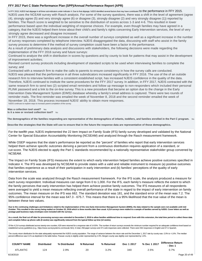In FFY 2015, NJEIS had slippage in all three sub-indicators under indicator 4. Due to that slippage, NJEIS identified several factors that may have contributed to the performance in FFY 2015. NJEIS uses the NCEAM survey with Rasch analysis. For some of the survey questions, there was a shift in the level of agreement (agree (4), strongly agree (5) and very strongly agree (6) or disagree (3), strongly disagree (2) and very strongly disagree (1)) reported by families. The Rasch score is weighted to be sensitive to the distribution of scores across 1-3 and 4-6. This resulted in lower performance based upon the individual weighting of response choices. For example, even though families may have agreed in a category, that the NJEIS helped them know about their child's and family's rights concerning Early Intervention services, the level of very strongly agree decreased and disagree increased.

In FFY 2015, there was a significant increase in the overall number of surveys completed as well as a significant increase in the number of survey responses completed by telephone interview. NJEIS disaggregated the data, discussing with staff who assist in the family survey process to determine if the method of survey completion could have been a factor in the performance.

As a result of preliminary data analysis and discussions with stakeholders, the following decisions were made regarding the implementation of the FFY 2016 survey and future surveys:

Continued to analyze the shift in distribution in scores by questions and by county to look for patterns that may assist in the development of improvement activities;

Revised current survey protocols including development of standard scripts to be used when interviewing families to complete the survey; and

Contracted with a research firm to make the calls to parents to ensure consistency in how the survey calls are conducted. NJEIS was pleased that the performance in all three subindicators increased significantly in FFY 2016. The use of the of an outside research firm to interview families with a consistent established script, has increased NJEIS confidence in the quality of the data. Therefore, NJEIS continued to institute the same procedures for the FFY 2017 survey. In addition, in FFY 2017, NJEIS contracted with the same research firm to send two (2) scripted email reminders and follow up message to non-responders which included their personal PLINK password and a link to the on-line survey. This is a new procedure that became an option due to the change in the Early Intervention Data Management System (EIMS) database whereby a family's email address is captured. There were two rounds of reminder mails. The first reminder was emailed the week of November 8, 2018 and the second reminder emailed the week of November 19, 2018. This process increased NJEIS' ability to obtain more responses. NJEIS continues to explore ways to increase parent completion of the survey.

**Was a collection tool used?** Yes **Is it a new or revised collection tool?** No

**The demographics of the families responding are representative of the demographics of infants, toddlers, and families enrolled in the Part C program.** No

**Describe the strategies that the State will use to ensure that in the future the response data are representative of those demographics.**

For the twelfth year, NJEIS implemented the 22 item Impact on Family Scale (IFS) family survey developed and validated by the National Center for Special Education Accountability Monitoring (NCSEAM) and analyzed through the Rasch measurement framework.

While OSEP requires that the state's performance be reported as the "percent" of families who report that early intervention services helped them achieve specific outcomes deriving a percent from a continuous distribution requires application of a standard, or cut-score. The NJEIS elected to apply the Part C standards recommended by a nationally representative stakeholder group convened by NCSEAM.

The Impact on Family Scale (IFS) measures the extent to which early intervention helped families achieve positive outcomes specified in Indicator 4. The IFS was developed by NCSEAM to provide states with a valid and reliable instrument to measure (a) positive outcomes that families experience as a result of their participation in early intervention and (b) families' perceptions of the quality of early intervention services.

Data from the scale was analyzed through the Rasch measurement framework. For the IFS scale, the analysis produced a measure for each survey respondent. Individual measures can range from 0 to 1,000. For the IFS, each family's measure reflects the extent to which the family perceives that early intervention has helped them achieve positive family outcomes. The IFS measures of all respondents were averaged to yield a mean measure reflecting overall performance of the state in regard to the impact of early intervention on family outcomes. The mean measure on the IFS was 662. The standard deviation was 181, and the standard error of the mean was 7.2. The 95% confidence interval for the mean was 647.3 - 675.7. This means that there is a 95% likelihood that the true value of the mean is between these two values.

Due to the continuing challenges and limitations relatd to the implementation of the new Early Intervention Management System (EIMS), the data related to the sample were not available until mid October. This resulted in the survey being mailed on October 22, 2018 which is three months later than usual. 4,214 surveys were mailed to a sample of families served by NJEIS. Cover letters as well as **postage paid business reply envelopes were included with the surveys.**

As a result, the final cut off date for processing surveys was extended to December 2, 2018 to allow families additional time to respond. Even with this extension, the total time period to collect these data **and complete follow up phone calls (6 weeks) was significantly reduced from the typical follow up time (12 weeks).**

Of the 4,214 surveys distributed across twenty-one counties, 629 were returned for a response rate of 14.93%. The number of return surveys exceeds the minimum number required for an adequate confidence level based on established survey guidelines (e.g., https://www.surveysystems.com/sscalc.htm). In total, 258 paper surveys and 371 web responses were collected. There were 592 responses in English and 37 in Spanish.

The county return distribution for the state adequately represented the NJEIS county population. The range of variance between the return rate and the December 1, 2017 rate by county was -2.0% to +1.6%. The median percent difference was 0.1% as deplicted in the table below. Passaic county is slightly under represented by 2.0%. Bergen county was slightly over represented by 1.6%.

| <b>COUNTY NAME</b> | <b>Distributed</b> | % Distributed | <b>N</b> Returned | % Returned | Dec 1 2017 | % Dec 1 2017 | <b>Difference Return</b><br>- Dec 1 |               |
|--------------------|--------------------|---------------|-------------------|------------|------------|--------------|-------------------------------------|---------------|
| <b>ATLANTIC</b>    | 124                | 2.9%          | 20                | 3.2%       | 340        | 2.5%         | 0.7%                                |               |
| 6/19/2019          |                    |               |                   |            |            |              |                                     | Page 20 of 49 |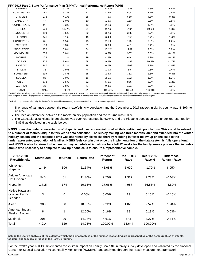| <b>I ZOTT Fait C State Feriormance Fiam (SEF)/Annual Feriormance Report (AFR)</b> |      |         |     |        |       |        |         |  |
|-----------------------------------------------------------------------------------|------|---------|-----|--------|-------|--------|---------|--|
| <b>BERGEN</b>                                                                     | 388  | $9.2\%$ | 72  | 11.4%  | 1338  | 9.8%   | 1.6%    |  |
| <b>BURLINGTON</b>                                                                 | 141  | 3.3%    | 27  | 4.3%   | 504   | 3.7%   | 0.6%    |  |
| CAMDEN                                                                            | 173  | 4.1%    | 28  | 4.5%   | 650   | 4.8%   | $-0.3%$ |  |
| <b>CAPE MAY</b>                                                                   | 44   | 1.0%    | 10  | 1.6%   | 110   | 0.8%   | 0.8%    |  |
| CUMBERLAND                                                                        | 98   | 2.3%    | 13  | 2.1%   | 207   | 1.5%   | 0.5%    |  |
| ESSEX                                                                             | 503  | 11.9%   | 61  | 9.7%   | 1494  | 10.9%  | $-1.3%$ |  |
| <b>GLOUCESTER</b>                                                                 | 110  | 2.6%    | 20  | 3.2%   | 365   | 2.7%   | 0.5%    |  |
| <b>HUDSON</b>                                                                     | 341  | 8.1%    | 40  | 6.4%   | 1053  | 7.7%   | $-1.4%$ |  |
| <b>HUNTERDON</b>                                                                  | 62   | 1.5%    | 13  | 2.1%   | 116   | 0.9%   | 1.2%    |  |
| <b>MERCER</b>                                                                     | 139  | 3.3%    | 21  | 3.3%   | 461   | 3.4%   | $0.0\%$ |  |
| <b>MIDDLESEX</b>                                                                  | 370  | 8.8%    | 64  | 10.2%  | 1269  | 9.3%   | 0.9%    |  |
| <b>MONMOUTH</b>                                                                   | 253  | 6.0%    | 41  | 6.5%   | 907   | 6.6%   | $-0.1%$ |  |
| <b>MORRIS</b>                                                                     | 174  | 4.1%    | 29  | 4.6%   | 644   | 4.7%   | $-0.1%$ |  |
| <b>OCEAN</b>                                                                      | 406  | 9.6%    | 58  | 9.2%   | 1493  | 10.9%  | $-1.7%$ |  |
| <b>PASSAIC</b>                                                                    | 340  | 8.1%    | 38  | 6.0%   | 1103  | 8.1%   | $-2.0%$ |  |
| SALEM                                                                             | 36   | 0.9%    | 6   | 1.0%   | 69    | 0.5%   | 0.4%    |  |
| SOMERSET                                                                          | 119  | 2.8%    | 15  | 2.4%   | 382   | 2.8%   | $-0.4%$ |  |
| <b>SUSSEX</b>                                                                     | 85   | 2.0%    | 16  | 2.5%   | 182   | 1.3%   | 1.2%    |  |
| <b>UNION</b>                                                                      | 273  | 6.5%    | 32  | 5.1%   | 856   | 6.3%   | $-1.2%$ |  |
| <b>WARREN</b>                                                                     | 35   | 0.8%    | 5   | 0.8%   | 101   | 0.7%   | 0.1%    |  |
| <b>TOTAL</b>                                                                      | 4214 | 100.0%  | 629 | 100.0% | 13644 | 100.0% | $0.0\%$ |  |

The NJEIS has historically observed an under-representation in survey response from the African American/Not Hispanic (AA/NH) and Hispanic (H) race/ethnicity groups and therefore has conducted surveys with an over-sampling of these two populations. In addition, secondary follow-up was attempted to families from these race/ethnicity groups that did not respond to the initial survey request.

The final county return race/ethnicity distribution for the state did not adequately represent the NJEIS county race/ethnicity population surveyed.

- The range of variance between the return race/ethnicity population and the December 1 2017 race/ethnicity by county was -8.89% to +6.95%.
- The Median difference between the race/ethnicity population and the returns was 0.03%
- The Caucasian/Not Hispanic population was over-represented by 6.95%, and the Hispanic population was under-represented by -8.89% as deplicted in the table below.

**NJEIS notes the underrepresentation of Hispanic and overrepresentation of White/Non-Hispanic populations. This could be related to a number of factors unique to this year's data collection. The survey mailing was three months later and extended into the winter holiday season and the response time was shortened by six weeks thereby resulting in fewer follow up phone calls to the underrepresented population of families. NJEIS feels certain that once the implementation of the data system is fully operational and NJEIS is able to return to the usual survey schedule which allows for a full 12 weeks for the family survey process that includes ample time necessary to complete follow up phone calls to ensure a representative sample.**

| 2017-2018<br><b>Race/Ethnicity</b>                     | <b>Distributed</b> | <b>Returned</b> | <b>Return Rate</b> | <b>Percent of</b><br><b>Return</b> | Dec 1 2017<br>Race | Dec 1 2017<br>Race % | <b>Difference</b><br>Return - Race |  |
|--------------------------------------------------------|--------------------|-----------------|--------------------|------------------------------------|--------------------|----------------------|------------------------------------|--|
| White/ Not<br>Hispanic                                 | 1,434              | 306             | 21.34%             | 48.65%                             | 5,690              | 41.70%               | 6.95%                              |  |
| African American/<br>Not Hispanic                      | 540                | 61              | 11.30%             | 9.70%                              | 1,327              | 9.73%                | $-0.03%$                           |  |
| Hispanic                                               | 1,715              | 174             | 10.15%             | 27.66%                             | 4,987              | 36.55%               | $-8.89%$                           |  |
| Native Hawaiian<br>or other Pacific<br><b>Islander</b> | 3                  | 0               | $0.00\%$           | $0.00\%$                           | 13                 | 0.10%                | $-0.10%$                           |  |
| Asian                                                  | 308                | 58              | 18.83%             | 9.22%                              | 1,026              | 7.52%                | 1.70%                              |  |
| American Indian/<br>Alaskan Native                     | 8                  | 1               | 12.50%             | 0.16%                              | 18                 | 0.13%                | 0.03%                              |  |
| Multiracial                                            | 206                | 29              | 14.08%             | 4.61%                              | 583                | 4.27%                | 0.34%                              |  |
| Total                                                  | 4,214              | 629             | 14.93%             | 100.00%                            | 13,644             | 100.00%              |                                    |  |

**Include the State's analysis of the extent to which the demographics of the families responding are representative of the demographics of infants, toddlers, and families enrolled in the Part C program.**

For the twelfth year, NJEIS implemented the 22 item Impact on Family Scale (IFS) family survey developed and validated by the National Center for Special Education Accountability Monitoring (NCSEAM) and analyzed through the Rasch measurement framework. 6/19/2019 Page 21 of 49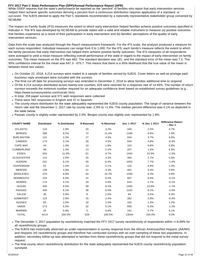While OSEP requires that the state's performance be reported as the "percent" of families who report that early intervention services helped them achieve specific outcomes deriving a percent from a continuous distribution requires application of a standard, or cut-score. The NJEIS elected to apply the Part C standards recommended by a nationally representative stakeholder group convened by NCSEAM.

The Impact on Family Scale (IFS) measures the extent to which early intervention helped families achieve positive outcomes specified in Indicator 4. The IFS was developed by NCSEAM to provide states with a valid and reliable instrument to measure (a) positive outcomes that families experience as a result of their participation in early intervention and (b) families' perceptions of the quality of early intervention services.

Data from the scale was analyzed through the Rasch measurement framework. For the IFS scale, the analysis produced a measure for each survey respondent. Individual measures can range from 0 to 1,000. For the IFS, each family's measure reflects the extent to which the family perceives that early intervention has helped them achieve positive family outcomes. The IFS measures of all respondents were averaged to yield a mean measure reflecting overall performance of the state in regard to the impact of early intervention on family outcomes. The mean measure on the IFS was 662. The standard deviation was 181, and the standard error of the mean was 7.2. The 95% confidence interval for the mean was 647.3 - 675.7. This means that there is a 95% likelihood that the true value of the mean is between these two values.

- On October 22, 2018, 4,214 surveys were mailed to a sample of families served by NJEIS. Cover letters as well as postage paid business reply envelopes were included with the surveys.
- The final cut off date for processing surveys was extended to December 2, 2018 to allow families additional time to respond.
- Of the 4,214 surveys distributed across twenty-one counties, 629 were returned for a response rate of 14.93%. The number of return surveys exceeds the minimum number required for an adequate confidence level based on established survey guidelines (e.g., https://www.surveysystems.com/sscalc.htm).
- In total, 258 paper surveys and 371 web responses were collected.
- There were 592 responses in English and 37 in Spanish.
- The county return distribution for the state adequately represented the NJEIS county population. The range of variance between the return rate and the December 1, 2017 rate by county was -2.0% to +1.6%. The median percent difference was 0.1% as deplicted in the table below.
- Passaic county is slightly under represented by 2.0%. Bergen county was slightly over represented by 1.6%.

| <b>COUNTY NAME</b> | <b>Distributed</b> | % Distributed | <b>N</b> Returned | % Returned | Dec 1 2017 | % Dec 1 2017 | <b>Difference Return</b><br>- Dec 1 |
|--------------------|--------------------|---------------|-------------------|------------|------------|--------------|-------------------------------------|
| <b>ATLANTIC</b>    | 124                | 2.9%          | 20                | 3.2%       | 340        | 2.5%         | 0.7%                                |
| <b>BERGEN</b>      | 388                | 9.2%          | 72                | 11.4%      | 1338       | 9.8%         | 1.6%                                |
| <b>BURLINGTON</b>  | 141                | 3.3%          | 27                | 4.3%       | 504        | 3.7%         | 0.6%                                |
| <b>CAMDEN</b>      | 173                | 4.1%          | 28                | 4.5%       | 650        | 4.8%         | $-0.3%$                             |
| <b>CAPE MAY</b>    | 44                 | 1.0%          | 10                | 1.6%       | 110        | 0.8%         | 0.8%                                |
| CUMBERLAND         | 98                 | 2.3%          | 13                | 2.1%       | 207        | 1.5%         | 0.5%                                |
| <b>ESSEX</b>       | 503                | 11.9%         | 61                | 9.7%       | 1494       | 10.9%        | $-1.3%$                             |
| <b>GLOUCESTER</b>  | 110                | 2.6%          | 20                | 3.2%       | 365        | 2.7%         | 0.5%                                |
| <b>HUDSON</b>      | 341                | 8.1%          | 40                | 6.4%       | 1053       | 7.7%         | $-1.4%$                             |
| <b>HUNTERDON</b>   | 62                 | 1.5%          | 13                | 2.1%       | 116        | 0.9%         | 1.2%                                |
| <b>MERCER</b>      | 139                | 3.3%          | 21                | 3.3%       | 461        | 3.4%         | 0.0%                                |
| <b>MIDDLESEX</b>   | 370                | 8.8%          | 64                | 10.2%      | 1269       | 9.3%         | 0.9%                                |
| <b>MONMOUTH</b>    | 253                | 6.0%          | 41                | 6.5%       | 907        | 6.6%         | $-0.1%$                             |
| <b>MORRIS</b>      | 174                | 4.1%          | 29                | 4.6%       | 644        | 4.7%         | $-0.1%$                             |
| <b>OCEAN</b>       | 406                | 9.6%          | 58                | 9.2%       | 1493       | 10.9%        | $-1.7%$                             |
| <b>PASSAIC</b>     | 340                | 8.1%          | 38                | 6.0%       | 1103       | 8.1%         | $-2.0%$                             |
| SALEM              | 36                 | 0.9%          | 6                 | 1.0%       | 69         | 0.5%         | 0.4%                                |
| <b>SOMERSET</b>    | 119                | 2.8%          | 15                | 2.4%       | 382        | 2.8%         | $-0.4%$                             |
| <b>SUSSEX</b>      | 85                 | 2.0%          | 16                | 2.5%       | 182        | 1.3%         | 1.2%                                |
| <b>UNION</b>       | 273                | 6.5%          | 32                | 5.1%       | 856        | 6.3%         | $-1.2%$                             |
| <b>WARREN</b>      | 35                 | 0.8%          | 5                 | 0.8%       | 101        | 0.7%         | 0.1%                                |
| <b>TOTAL</b>       | 4214               | 100.0%        | 629               | 100.0%     | 13644      | 100.0%       | 0.0%                                |

The December 1, 2017 population by race/ethnicity matched the FFY 2017 survey race/ethnicity of respondents within +/-8.89% for all race/ethnicity groups.

The NJEIS has historically observed an under-representation in survey response from the African American/Not Hispanic (AA/NH) and Hispanic (H) race/ethnicity groups and therefore has conducted surveys with an over-sampling of these two populations. In addition, secondary follow-up was attempted to families from these race/ethnicity groups that did not respond to the initial survey request.

The final county return race/ethnicity distribution for the state adequately represented the NJEIS county race/ethnicity population surveyed.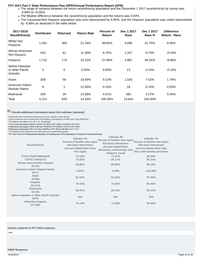- The range of variance between the return race/ethnicity population and the December 1 2017 race/ethnicity by county was -8.89% to +6.95%.
- The Median difference between the race/ethnicity population and the returns was 0.03%
- The Caucasian/Not Hispanic population was over-represented by 6.95%, and the Hispanic population was under-represented by -8.89% as deplicted in the table below.

| 2017-2018<br><b>Race/Ethnicity</b>              | <b>Distributed</b> | <b>Returned</b> | <b>Return Rate</b> | <b>Percent of</b><br>Return | Dec 1 2017<br>Race | Dec 1 2017<br>Race % | <b>Difference</b><br>Return - Race |
|-------------------------------------------------|--------------------|-----------------|--------------------|-----------------------------|--------------------|----------------------|------------------------------------|
| White/ Not<br>Hispanic                          | 1,434              | 306             | 21.34%             | 48.65%                      | 5,690              | 41.70%               | 6.95%                              |
| African American/<br>Not Hispanic               | 540                | 61              | 11.30%             | 9.70%                       | 1,327              | 9.73%                | $-0.03%$                           |
| Hispanic                                        | 1,715              | 174             | 10.15%             | 27.66%                      | 4,987              | 36.55%               | $-8.89%$                           |
| Native Hawaiian<br>or other Pacific<br>Islander | 3                  | 0               | 0.00%              | $0.00\%$                    | 13                 | 0.10%                | $-0.10%$                           |
| Asian                                           | 308                | 58              | 18.83%             | 9.22%                       | 1,026              | 7.52%                | 1.70%                              |
| American Indian/<br>Alaskan Native              | 8                  | 1               | 12.50%             | 0.16%                       | 18                 | 0.13%                | 0.03%                              |
| Multiracial                                     | 206                | 29              | 14.08%             | 4.61%                       | 583                | 4.27%                | 0.34%                              |
| Total                                           | 4,214              | 629             | 14.93%             | 100.00%                     | 13,644             | 100.00%              |                                    |

### **Provide additional information about this indicator (optional)**

Responses were received from all twenty one (21) counties in New Jersey.

Survey responses were received from 629 families, representing a 14.93% return rate (629/4214).

The targets were met for 4A, 4B or 4C. Specifically:

Performance decreased 3.26% in 4A from 78.78% in FFY 2016 to 75.52% in FFY 2017.

Performance decreased 2.58% in 4B from 75.55% in FFY 2016 to 72.97% in FFY 2017.

Performance decreased 3.9% in 4C from 88.96% in FFY 2016 to 85.06% in FFY 2017.

The following chart represents the performance by race/ethnicity groups:<br>FFY 2017 Percent of Respondents Meeting or Exceeding each of the Standards for Indicator #4 by Race/Ethnicity

| Race/Ethnicity                                       | Indicator 4A<br>Percent of families who report<br>that Early Intervention<br>services helped them know<br>their rights | Indicator 4B<br>Percent of families who report percent of families who report<br>that Early Intervention<br>services helped them<br>effectively communicate their<br>children's needs | Indicator 4C<br>that Early Intervention<br>services helped them help<br>their child develop and learn |  |
|------------------------------------------------------|------------------------------------------------------------------------------------------------------------------------|---------------------------------------------------------------------------------------------------------------------------------------------------------------------------------------|-------------------------------------------------------------------------------------------------------|--|
| <b>STATE PERFORMANCE</b>                             | 75.52%                                                                                                                 | 72.97%                                                                                                                                                                                | 85.06%                                                                                                |  |
| <b>STATE TARGETS</b>                                 | 74.05%                                                                                                                 | 69.17%                                                                                                                                                                                | 84.52%                                                                                                |  |
| African American/Not Hispanic<br>$(N=61)$            | 68.85%                                                                                                                 | 68.85%                                                                                                                                                                                | 90.16%                                                                                                |  |
| American Indian/ Alaskan Native<br>$(N=1)$           | $0.00\%$                                                                                                               | $0.00\%$                                                                                                                                                                              | 100.00%                                                                                               |  |
| Asian<br>$(N=58)$                                    | 81.03%                                                                                                                 | 81.03%                                                                                                                                                                                | 87.93%                                                                                                |  |
| Hispanic<br>$(N=174)$                                | 76.44%                                                                                                                 | 73.56%                                                                                                                                                                                | 84.48%                                                                                                |  |
| Multiracial<br>$(N=29)$                              | 68.97%                                                                                                                 | 65.52%                                                                                                                                                                                | 86.21%                                                                                                |  |
| Native Hawaiian or Other Pacific Islander<br>$(N=0)$ | N/A                                                                                                                    | N/A                                                                                                                                                                                   | N/A                                                                                                   |  |
| White/Not Hispanic<br>$(N=306)$                      | 76.14%                                                                                                                 | 72.88%                                                                                                                                                                                | 83.66%                                                                                                |  |

### **Actions required in FFY 2016 response**

none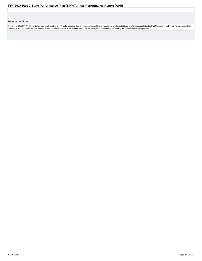### <span id="page-23-0"></span>**Required Actions**

In the FFY 2018 SPP/APR, the State must report whether its FFY 2018 response data are representative of the demographics of infants, toddlers, and families enrolled in the Part C program , and, if not, the actions the Stat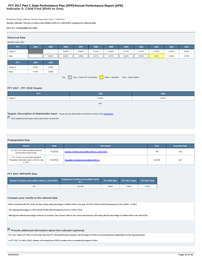### **Indicator 5: Child Find (Birth to One) FFY 2017 Part C State Performance Plan (SPP)/Annual Performance Report (APR)**

Monitoring Priority: Effective General Supervision Part C / Child Find

**Results indicator: Percent of infants and toddlers birth to 1 with IFSPs compared to national data.**

### **(20 U.S.C. 1416(a)(3)(B) and 1442)**

| <b>Historical Data</b><br>Baseline Data: 2012 |       |       |       |       |       |                                                 |                    |       |       |       |       |
|-----------------------------------------------|-------|-------|-------|-------|-------|-------------------------------------------------|--------------------|-------|-------|-------|-------|
| <b>FFY</b>                                    | 2004  | 2005  | 2006  | 2007  | 2008  | 2009                                            | 2010               | 2011  | 2012  | 2013  | 2014  |
| <sub>Target</sub> ≥                           |       |       | 0.62% | 0.62% | 0.72% | 0.82%                                           | 0.72%              | 0.72% | 0.75% | 0.65% | 0.65% |
| Data                                          |       | 0.56% | 0.63% | 0.65% | 0.57% | 0.67%                                           | 0.64%              | 0.63% | 0.62% | 0.65% | 0.70% |
| <b>FFY</b>                                    | 2015  | 2016  |       |       |       |                                                 |                    |       |       |       |       |
| Target $\geq$                                 | 0.65% | 0.66% |       |       |       |                                                 |                    |       |       |       |       |
| Data                                          | 0.75% | 0.88% |       |       |       |                                                 |                    |       |       |       |       |
|                                               |       |       | Key:  |       |       | Gray - Data Prior to Baseline Yellow - Baseline | Blue - Data Update |       |       |       |       |

### **FFY 2017 - FFY 2018 Targets**

| <b>FFY</b>    | 2017  | 2018  |
|---------------|-------|-------|
| Target $\geq$ | 0.66% | 0.67% |
|               | Key:  |       |

### **Targets: Description of Stakeholder Input** - Please see the Stakeholder Involvement section of the *introduction*.

Enter additional information about stakeholder involvement

### **Prepopulated Data**

| <b>Source</b>                                                                             | <b>Date</b> | <b>Description</b>                                   | <b>Data</b> | <b>Overwrite Data</b> |
|-------------------------------------------------------------------------------------------|-------------|------------------------------------------------------|-------------|-----------------------|
| SY 2017-18 Child Count/Educational<br><b>Environment Data Groups</b>                      | 7/11/2018   | Number of infants and toddlers birth to 1 with IFSPs | 793         | null                  |
| U.S. Census Annual State Resident<br>Population Estimates April 1, 2010 to July<br>1.2017 | 6/12/2018   | Population of infants and toddlers birth to 1        | 101.902     | null                  |

### **FFY 2017 SPP/APR Data**

| Number of infants and toddlers birth to 1 with IFSPs | Population of infants and toddlers birth<br>to ' | FFY 2016 Data | FFY 2017 Target | FFY 2017 Data |  |
|------------------------------------------------------|--------------------------------------------------|---------------|-----------------|---------------|--|
| 793                                                  | 101.902                                          | 0.88%         | 0.66%           | ኅ.78%         |  |

### **Compare your results to the national data**

When compared with FFY 2016, the New Jersey state percentage of children birth to one year of 0.78% (793/101,902) decreased by 0.10% (0.88% - 0.78%).

The national percentage of 1.25% (49,307/3,939,295) increased by 0.01% (1.24%-1.25%).

Although the national percentage continues to increase, New Jersey's birth to one census decreased by 365 along with the percentage of children birth to one with IFSPs.

### **Provide additional information about this indicator (optional)**

FFY 2017 status of 0.78% is 0.10% lower than the FFY 2016 performance however, met the target of 0.66% as recommended by stakeholders for this reporting period.

In FFY 2017, 61.90% (13/21), thirteen of the twenty-one NJEIS counties met or exceeded the target of 0.66%.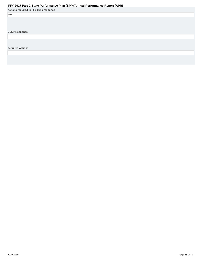<span id="page-25-0"></span>

| $\cdots$ and $\cdots$ and $\cdots$ and $\cdots$ and $\cdots$ and $\cdots$ are $\cdots$ and $\cdots$ and $\cdots$ are $\cdots$ and $\cdots$ and $\cdots$ and $\cdots$ and $\cdots$ and $\cdots$ and $\cdots$ and $\cdots$ and $\cdots$ and $\cdots$ and $\cdots$ and $\cdots$ and $\cdots$ and |
|-----------------------------------------------------------------------------------------------------------------------------------------------------------------------------------------------------------------------------------------------------------------------------------------------|
| Actions required in FFY 2016 response                                                                                                                                                                                                                                                         |
| none                                                                                                                                                                                                                                                                                          |
|                                                                                                                                                                                                                                                                                               |
|                                                                                                                                                                                                                                                                                               |
|                                                                                                                                                                                                                                                                                               |
| <b>OSEP Response</b>                                                                                                                                                                                                                                                                          |
|                                                                                                                                                                                                                                                                                               |
|                                                                                                                                                                                                                                                                                               |
|                                                                                                                                                                                                                                                                                               |
| <b>Required Actions</b>                                                                                                                                                                                                                                                                       |
|                                                                                                                                                                                                                                                                                               |
|                                                                                                                                                                                                                                                                                               |
|                                                                                                                                                                                                                                                                                               |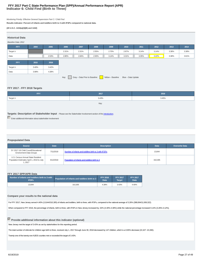### **Indicator 6: Child Find (Birth to Three) FFY 2017 Part C State Performance Plan (SPP)/Annual Performance Report (APR)**

Monitoring Priority: Effective General Supervision Part C / Child Find

**Results indicator: Percent of infants and toddlers birth to 3 with IFSPs compared to national data.**

### **(20 U.S.C. 1416(a)(3)(B) and 1442)**

| <b>Historical Data</b><br>Baseline Data: 2012                                    |       |       |       |       |       |       |       |       |       |       |       |
|----------------------------------------------------------------------------------|-------|-------|-------|-------|-------|-------|-------|-------|-------|-------|-------|
| <b>FFY</b>                                                                       | 2004  | 2005  | 2006  | 2007  | 2008  | 2009  | 2010  | 2011  | 2012  | 2013  | 2014  |
| Target $\geq$                                                                    |       |       | 2.31% | 2.31% | 2.55% | 2.70% | 2.87% | 3.14% | 3.14% | 3.38% | 3.38% |
| Data                                                                             |       | 2.53% | 2.80% | 2.84% | 2.93% | 3.14% | 3.31% | 3.35% | 3.22% | 3.38% | 3.61% |
| <b>FFY</b>                                                                       | 2015  | 2016  |       |       |       |       |       |       |       |       |       |
| Target $\geq$                                                                    | 3.40% | 3.42% |       |       |       |       |       |       |       |       |       |
| Data                                                                             | 3.98% | 4.38% |       |       |       |       |       |       |       |       |       |
| Gray - Data Prior to Baseline<br>Yellow - Baseline<br>Blue - Data Update<br>Key: |       |       |       |       |       |       |       |       |       |       |       |

### **FFY 2017 - FFY 2018 Targets**

| <b>FFY</b>               | 2017  | 2018  |
|--------------------------|-------|-------|
| $\sqrt{ }$ Target $\geq$ | 3.43% | 3.45% |
|                          | Key:  |       |

### **Targets: Description of Stakeholder Input** - Please see the Stakeholder Involvement section of the *introduction*.

**Enter additional information about stakeholder involvement** 

### **Prepopulated Data**

| <b>Source</b>                                                                             | <b>Date</b> | <b>Description</b>                                   | <b>Data</b> | <b>Overwrite Data</b> |
|-------------------------------------------------------------------------------------------|-------------|------------------------------------------------------|-------------|-----------------------|
| SY 2017-18 Child Count/Educational<br><b>Environment Data Groups</b>                      | 7/11/2018   | Number of infants and toddlers birth to 3 with IFSPs | 13,644      |                       |
| U.S. Census Annual State Resident<br>Population Estimates April 1, 2010 to July<br>1.2017 | 6/12/2018   | Population of infants and toddlers birth to 3        | 310,305     |                       |

### **FFY 2017 SPP/APR Data**

| Number of infants and toddlers birth to 3 with | Population of infants and toddlers birth to 3 | <b>FFY 2016</b> | <b>FFY 2017</b> | <b>FFY 2017</b> |
|------------------------------------------------|-----------------------------------------------|-----------------|-----------------|-----------------|
| <b>IFSPs</b>                                   |                                               | Data            | <b>Target</b>   | Data            |
| 13.644                                         | 310.305                                       | 4.38%           | 3.43%           | 4.40%           |

### **Compare your results to the national data**

For FFY 2017, New Jersey served 4.40% (13,644/310,305) of infants and toddlers, birth to three, with IFSPs, compared to the national average of 3.26% (388,694/11,936,322).

When compared to FFY 2016, the percentage of infants, birth to three, with IFSPs in New Jersey increased by .02% (4.40%-4.38%) while the national percentage increased 0.14% (3.26%-3.12%).

### **Provide additional information about this indicator (optional)**

New Jersey met the target of 3.43% as set by stakeholders for this reporting period.

The total number of referrals for children age birth to three, received July 1, 2017 through June 30, 2018 decreased by 147 children, which is a 0.65% decrease (22,427 -22,280).

Twenty-one of the twenty-one NJEIS counties met or exceeded the target of 3.43%.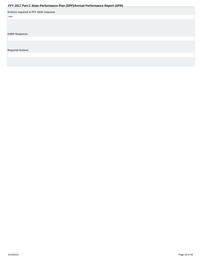<span id="page-27-0"></span>

| $\sim$ $\sim$                         | . .<br>$\sim$ $\sim$ |  |
|---------------------------------------|----------------------|--|
| Actions required in FFY 2016 response |                      |  |
| none                                  |                      |  |
|                                       |                      |  |
|                                       |                      |  |
|                                       |                      |  |
| <b>OSEP Response</b>                  |                      |  |
|                                       |                      |  |
|                                       |                      |  |
|                                       |                      |  |
| <b>Required Actions</b>               |                      |  |
|                                       |                      |  |
|                                       |                      |  |
|                                       |                      |  |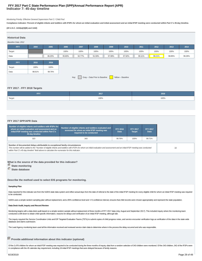### **Indicator 7: 45-day timeline FFY 2017 Part C State Performance Plan (SPP)/Annual Performance Report (APR)**

Monitoring Priority: Effective General Supervision Part C / Child Find

**Compliance indicator: Percent of eligible infants and toddlers with IFSPs for whom an initial evaluation and initial assessment and an initial IFSP meeting were conducted within Part C's 45-day timeline.**

### **(20 U.S.C. 1416(a)(3)(B) and 1442)**

| <b>Historical Data</b><br>Baseline Data: 2012              |        |        |        |        |        |        |        |        |        |        |        |
|------------------------------------------------------------|--------|--------|--------|--------|--------|--------|--------|--------|--------|--------|--------|
| <b>FFY</b>                                                 | 2004   | 2005   | 2006   | 2007   | 2008   | 2009   | 2010   | 2011   | 2012   | 2013   | 2014   |
| Target                                                     |        |        | 100%   | 100%   | 100%   | 100%   | 100%   | 100%   | 100%   | 100%   | 100%   |
| Data                                                       |        | 86.20% | 95.80% | 92.77% | 91.59% | 97.89% | 97.92% | 99.11% | 98.21% | 98.85% | 96.26% |
| <b>FFY</b>                                                 | 2015   | 2016   |        |        |        |        |        |        |        |        |        |
| Target                                                     | 100%   | 100%   |        |        |        |        |        |        |        |        |        |
| Data                                                       | 98.61% | 99.76% |        |        |        |        |        |        |        |        |        |
| Gray - Data Prior to Baseline<br>Key:<br>Yellow - Baseline |        |        |        |        |        |        |        |        |        |        |        |

### **FFY 2017 - FFY 2018 Targets**

| FFY    | 2017 | 2018 |
|--------|------|------|
| Target | 100% | 100% |

### **FFY 2017 SPP/APR Data**

| Number of eligible infants and toddlers with IFSPs for<br>whom an initial evaluation and assessment and an<br>initial IFSP meeting was conducted within Part C's<br>45-day timeline                                                                                                                                                                         | Number of eligible infants and toddlers evaluated and<br>assessed for whom an initial IFSP meeting was<br>required to be conducted | <b>FFY 2016</b><br>Data | <b>FFY 2017</b><br><b>Target</b> | <b>FFY 2017</b><br><b>Data</b> |  |  |
|-------------------------------------------------------------------------------------------------------------------------------------------------------------------------------------------------------------------------------------------------------------------------------------------------------------------------------------------------------------|------------------------------------------------------------------------------------------------------------------------------------|-------------------------|----------------------------------|--------------------------------|--|--|
| 323                                                                                                                                                                                                                                                                                                                                                         | 343                                                                                                                                | 99.76%                  | 100%                             | 99.71%                         |  |  |
| Number of documented delays attributable to exceptional family circumstances<br>This number will be added to the "Number of eligible infants and toddlers with IFSPs for whom an initial evaluation and assessment and an initial IFSP meeting was conducted<br>within Part C's 45-day timeline" field above to calculate the numerator for this indicator. |                                                                                                                                    |                         |                                  |                                |  |  |

**What is the source of the data provided for this indicator?**

- **State monitoring**
- **State database**

**Describe the method used to select EIS programs for monitoring.**

### **Sampling Plan**

Data reported for this indicator are from the NJEIS state data system and reflect actual days from the date of referral to the date of the initial IFSP meeting for every eligible child for whom an initial IFSP meeting was to be conducted.

NJEIS uses a simple random sampling plan without replacement, and a 95% confidence level and +/-5 confidence interval, ensures that child records were chosen appropriately and represent the state population.

### **Data Desk Audit, Inquiry and Record Review**

Monitoring begins with a data desk audit based on a simple random sample without replacement of three months of FFY 2017 data (July, August and September 2017). This included inquiry where the monitoring team conducted a drill down to obtain child specific information, reasons for delays and verification of an initial IFSP meeting, although late.

The inquiry required the Service Coordination Units and EIP Targeted Evaluation Teams (TETs) to submit copies of child progress notes, and service encounter verification logs as verification of the data in the state wide database and claims submission.

The Lead Agency monitoring team used all the information received and reviewed service claim data to determine where in the process the delay occurred and who was responsible.

### **Provide additional information about this indicator (optional)**

Of the 3,476 children for whom an intial IFSP meeting was required to be conducted during the three months of inquiry, data from a random selection of 343 children were monitored. Of the 343 children, 342 of the IFSPs were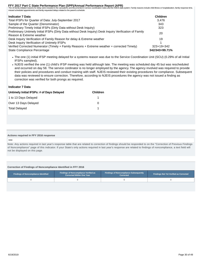FFY 2017 Part C State Performance Plan (SPP)/Annual Performance Report (APR)<br>The 19 family-initiated reasons for delay were included in the cacluations and documented in service coordination notes and the NJEIS data system missed scheduled appointments and family requested delays related to the parent's schedule.

| <b>Indicator 7 Data</b>                                                                                  | <b>Children</b> |
|----------------------------------------------------------------------------------------------------------|-----------------|
| Total IFSPs for Quarter of Data: July-September 2017                                                     | 3.476           |
| Sample of the Quarter (Denominator)                                                                      | 343             |
| Preliminary Timely Initial IFSPs (Dirty Data without Desk Inquiry)                                       | 323             |
| Preliminary Untimely Initial IFSPs (Dirty Data without Desk Inquiry) Desk Inquiry Verification of Family |                 |
| Reason & Extreme weather                                                                                 | 20              |
| Desk Inquiry Verification of Family Reason for delay & Extreme weather                                   | 19              |
| Desk Inquiry Verification of Untimely IFSPs                                                              |                 |
| Verified Corrected Numerator (Timely + Family Reasons + Extreme weather + corrected Timely)              | $323+19=342$    |
| State Compliance Percentage                                                                              | 342/343=99.71%  |

- The one (1) initial IFSP meeting delayed for a systems reason was due to the Service Coordination Unit (SCU) (0.29% of all Initial IFSPs sampled).
- NJEIS verified the one (1) child's IFSP meeting was held although late. The meeting was scheduled day 45 but was rescheduled and occurred on day 58. The service cordinator is no longer employed by the agency. The agency involved was required to provide their policies and procedures and conduct training with staff. NJEIS reviewed their existing procedures for compliance. Subsequent data was reviewed to ensure correction. Therefore, according to NJEIS procedures the agency was not issued a finding as correction was verified for both prongs as required.

### **Indicator 7 Data**

| Untimely Initial IFSPs: # of Days Delayed | <b>Children</b> |
|-------------------------------------------|-----------------|
| 1 to 13 Days Delayed                      |                 |
| Over 13 Days Delayed                      | 0               |
| <b>Total Delayed</b>                      |                 |

### **Actions required in FFY 2016 response**

### none

Note: Any actions required in last year's response table that are related to correction of findings should be responded to on the "Correction of Previous Findings of Noncompliance" page of this indicator. If your State's only actions required in last year's response are related to findings of noncompliance, a text field will not be displayed on this page.

### **Correction of Findings of Noncompliance Identified in FFY 2016**

| <b>Findings of Noncompliance Identified</b> | <b>Findings of Noncompliance Subsequently</b><br>Findings of Noncompliance Verified as<br><b>Corrected Within One Year</b><br>Corrected |  | <b>Findings Not Yet Verified as Corrected</b> |
|---------------------------------------------|-----------------------------------------------------------------------------------------------------------------------------------------|--|-----------------------------------------------|
|                                             |                                                                                                                                         |  |                                               |
|                                             |                                                                                                                                         |  |                                               |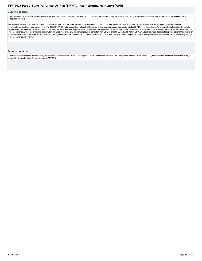### **OSEP Response**

The State's FFY 2016 data for this indicator reflected less than 100% compliance. The State did not provide an explanation of why the State did not identify any findings of noncompliance in FFY 2016, as required by the Measurement Table.

<span id="page-30-0"></span>Because the State reported less than 100% compliance for FFY 2017, the State must report on the status of correction of noncompliance identified in FFY 2017 for this indicator. When reporting on the correction of noncompliance, the State must report, in the FFY 2018 SPP/APR, that it has verified that each EIS program or provider with noncompliance identified in FFY 2017 for this indicator: (1) is correctly implementing the specific regulatory requirements (i.e., achieved 100% compliance) based on a review of updated data such as data subsequently collected through on-site monitoring or a State data system; and (2) has corrected each individual case of noncompliance, unless the child is no longer within the jurisdiction of the EIS program or provider, consistent with OSEP Memo 09-02. In the FFY 2018 SPP/APR, the State must describe the specific actions that were taken to verify the correction. If the State did not identify any findings of noncompliance in FFY 2017, although its FFY 2017 data reflect less than 100% compliance, provide an explanation of why the State did not identify any of noncompliance in FFY 2017. FFY 2017 Part C State Performance Plan (SPP)/Annual Performance Report (APR)<br>
DSEP Response<br>
The State's FFY 2016 data for this indicator reflected less than 100% compliance. The State did not provide an explanation of why

### **Required Actions**

The State did not report that it identified any findings of noncompliance in FFY 2016, although its FFY 2016 data reflect less than 100% compliance. In the FFY 2018 SPP/APR, the State must provide an explanation of why it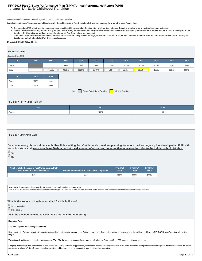### **Indicator 8A: Early Childhood Transition FFY 2017 Part C State Performance Plan (SPP)/Annual Performance Report (APR)**

### Monitoring Priority: Effective General Supervision Part C / Effective Transition

**Compliance indicator: The percentage of toddlers with disabilities exiting Part C with timely transition planning for whom the Lead Agency has:**

- **A. Developed an IFSP with transition steps and services at least 90 days, and at the discretion of all parties, not more than nine months, prior to the toddler's third birthday;**
- **Notified (consistent with any opt-out policy adopted by the State) the State educational agency (SEA) and the local educational agency (LEA) where the toddler resides at least 90 days prior to the B. toddler's third birthday for toddlers potentially eligible for Part B preschool services; and**
- C. Conducted the transition conference held with the approval of the family at least 90 days, and at the discretion of all parties, not more than nine months, prior to the toddler's third birthday for **toddlers potentially eligible for Part B preschool services.**

**(20 U.S.C. 1416(a)(3)(B) and 1442)**

### **Historical Data**

### Baseline Data: 2011

| <b>FFY</b>                                                 | 2004 | 2005   | 2006   | 2007   | 2008   | 2009 | 2010   | 2011   | 2012 | 2013 | 2014 |
|------------------------------------------------------------|------|--------|--------|--------|--------|------|--------|--------|------|------|------|
| Target                                                     |      |        | 100%   | 100%   | 100%   | 100% | 100%   | 100%   | 100% | 100% | 100% |
| Data                                                       |      | 95.20% | 96.50% | 99.20% | 99.70% | 100% | 99.65% | 98.10% | 100% | 100% | 100% |
|                                                            |      |        |        |        |        |      |        |        |      |      |      |
| <b>FFY</b>                                                 | 2015 | 2016   |        |        |        |      |        |        |      |      |      |
| Target                                                     | 100% | 100%   |        |        |        |      |        |        |      |      |      |
| Data                                                       | 100% | 100%   |        |        |        |      |        |        |      |      |      |
| Gray - Data Prior to Baseline<br>Yellow - Baseline<br>Key: |      |        |        |        |        |      |        |        |      |      |      |

### **FFY 2017 - FFY 2018 Targets**

| <b>FFY</b> | 2017 | 2018 |
|------------|------|------|
| Target     | 100% | 100% |
|            |      |      |

### **FFY 2017 SPP/APR Data**

**Data include only those toddlers with disabilities exiting Part C with timely transition planning for whom the Lead Agency has developed an IFSP with transition steps and services at least 90 days, and at the discretion of all parties, not more than nine months, prior to the toddler's third birthday.** Yes

 $\bigcap_{\textsf{No}}$ 

| Number of children exiting Part C who have an IFSP | Number of toddlers with disabilities exiting Part C | <b>FFY 2016</b> | <b>FFY 2017</b> | <b>FFY 2017</b>   |
|----------------------------------------------------|-----------------------------------------------------|-----------------|-----------------|-------------------|
| with transition steps and services                 |                                                     | Data            | Target          | Data <sup>1</sup> |
| 341                                                | 341                                                 | 100%            | 100%            | 100%              |

**Number of documented delays attributable to exceptional family circumstances** Number or documented delays attributable to exceptional ramily circumstances<br>This number will be added to the "Number of children exiting Part C who have an IFSP with transition steps and services" field to calculate the n

**What is the source of the data provided for this indicator?**

**C** State monitoring

State database

**Describe the method used to select EIS programs for monitoring.**

### **Sampling Plan**

Data were reported for all twenty-one counties.

Data reported for 8A were collected through the annual desk audit record review process. Data reported on the desk audit is verified against what is in the child's record (e.g., NJEIS IFSP Review Transition Information Page).

The data desk audit was conducted on one quarter of FFY 17 for the months of August, September and October 2017 and identified 2,998 children that turned age three.

Sampling methodology was implemented to ensure that the NJEIS population is appropriately represented based on the population size of the state. Therefore, a simple random sampling plan without replacement with a 95% confidence level and +/- 5 confidence interval ensures that child records chosen appropriately represent the state population.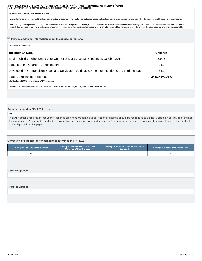# <span id="page-32-0"></span>**FFY 2017 Part C State Performance Plan (SPP)/Annual Performance Report (APR)**<br>Of the 2,998 children who exited the program, a random selection of the 341 children were monitored.

### **Data Desk Audit, Inquiry and Record Review**

The monitoring team first confirmed the child's date of birth was accurate in the NJEIS state database. Based on the child's date of birth, an inquiry was prepared for the county to identify possible non-compliance.

The monitoring team implemented inquiry which drilled down to obtain child specific information, reasons for delays and verification of transition steps, although late. The Service Coordination Units were required to submi copies of child progress notes, IFSPs and service encounter verification logs. The monitoring team used all the information received to determine where in the process the delay occurred and who was responsible.

### **Provide additional information about this indicator (optional)**

| Data Analysis and Results                                                                                       |                   |  |
|-----------------------------------------------------------------------------------------------------------------|-------------------|--|
| <b>Indicator 8A Data</b>                                                                                        | <b>Children</b>   |  |
| Total of Children who turned 3 for Quarter of Data: August, September, October 2017                             | 2,998             |  |
| Sample of the Quarter (Denominator)                                                                             | 341               |  |
| Developed IFSP Transition Steps and Services $> = 90$ days to $\lt = 9$ months prior to the third birthday      | 341               |  |
| State Compliance Percentage<br>NJEIS achieved 100% compliance on 341/341 records.                               | $341/341 = 100\%$ |  |
| NJEIS has had continued 100% compliance on this indicator in FFY 12, FFY 13, FFY 14, FFY 15, FFY 16 and FFY 17. |                   |  |

### **Actions required in FFY 2016 response**

### none

Note: Any actions required in last year's response table that are related to correction of findings should be responded to on the "Correction of Previous Findings of Noncompliance" page of this indicator. If your State's only actions required in last year's response are related to findings of noncompliance, a text field will not be displayed on this page.

### **Correction of Findings of Noncompliance Identified in FFY 2016**

| <b>Findings of Noncompliance Identified</b> | <b>Findings of Noncompliance Verified as</b><br><b>Corrected Within One Year</b> | <b>Findings of Noncompliance Subsequently</b><br>Corrected | <b>Findings Not Yet Verified as Corrected</b> |  |
|---------------------------------------------|----------------------------------------------------------------------------------|------------------------------------------------------------|-----------------------------------------------|--|
|                                             |                                                                                  |                                                            |                                               |  |

### **OSEP Response**

### **Required Actions**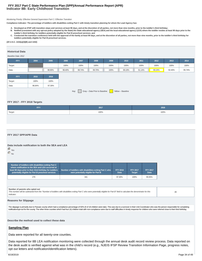### **Indicator 8B: Early Childhood Transition FFY 2017 Part C State Performance Plan (SPP)/Annual Performance Report (APR)**

### Monitoring Priority: Effective General Supervision Part C / Effective Transition

**Compliance indicator: The percentage of toddlers with disabilities exiting Part C with timely transition planning for whom the Lead Agency has:**

- **A. Developed an IFSP with transition steps and services at least 90 days, and at the discretion of all parties, not more than nine months, prior to the toddler's third birthday;**
- **Notified (consistent with any opt-out policy adopted by the State) the State educational agency (SEA) and the local educational agency (LEA) where the toddler resides at least 90 days prior to the B. toddler's third birthday for toddlers potentially eligible for Part B preschool services; and**
- C. Conducted the transition conference held with the approval of the family at least 90 days, and at the discretion of all parties, not more than nine months, prior to the toddler's third birthday for **toddlers potentially eligible for Part B preschool services.**

**(20 U.S.C. 1416(a)(3)(B) and 1442)**

### **Historical Data**

### Baseline Data: 2012

| <b>FFY</b> | 2004 | 2005   | 2006   | 2007   | 2008   | 2009 | 2010   | 2011   | 2012   | 2013   | 2014   |
|------------|------|--------|--------|--------|--------|------|--------|--------|--------|--------|--------|
| Target     |      |        | 100%   | 100%   | 100%   | 100% | 100%   | 100%   | 100%   | 100%   | 100%   |
| Data       |      | 98.90% | 98.40% | 98.74% | 99.70% | 100% | 99.19% | 91.14% | 90.24% | 92.40% | 95.74% |
| <b>FFY</b> | 2015 | 2016   |        |        |        |      |        |        |        |        |        |
| Target     | 100% | 100%   |        |        |        |      |        |        |        |        |        |
|            |      |        |        |        |        |      |        |        |        |        |        |

Key: Gray – Data Prior to Baseline Yellow – Baseline

### **FFY 2017 - FFY 2018 Targets**

| ---<br>.            | 2017 | 2018 |
|---------------------|------|------|
| <sup>1</sup> Target | 100% | 100% |
|                     |      |      |

### **FFY 2017 SPP/APR Data**

### **Data include notification to both the SEA and LEA**

 Yes  $C_{N_0}$ 

| Number of toddlers with disabilities exiting Part C<br>where notification to the SEA and LEA occurred at $\dot{}$<br>least 90 days prior to their third birthday for toddlers<br>potentially eligible for Part B preschool services | Number of toddlers with disabilities exiting Part C who<br>were potentially eligible for Part B | <b>FFY 2016</b><br>Data | <b>FFY 2017</b><br><b>Target</b> | <b>FFY 2017</b><br><b>Data</b> |
|-------------------------------------------------------------------------------------------------------------------------------------------------------------------------------------------------------------------------------------|-------------------------------------------------------------------------------------------------|-------------------------|----------------------------------|--------------------------------|
| 279                                                                                                                                                                                                                                 | 341                                                                                             | 97.30%                  | 100%                             | 95.55%                         |

### **Number of parents who opted out**

This number will be subtracted from the "Number of toddlers with disabilities exiting Part C who were potentially eligible for Part B" field to calculate the denominator for this indicator.

49

### **Reasons for Slippage**

The slippage is primarily due to Passaic county which had a compliance percentage of 50% (9 of 18 children were late). This was due to a turnover in their Unit Coordinator who was the person responsible for completing notification/opt-out for the county. The other three counties which had four (4) children total with non-compliance were due to staff difficulites in timely response for children who were referred close to their third birt

**Describe the method used to collect these data**

### **Sampling Plan**

Data were reported for all twenty-one counties.

Data reported for 8B LEA notification monitoring were collected through the annual desk audit record review process. Data reported on the desk audit is verified against what was in the child's record (e.g., NJEIS IFSP Review Transition Information Page, progress notes, opt out letters and notification/identification letters).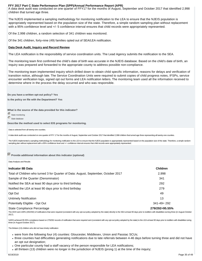A data desk audit was conducted on one quarter of FFY17 for the months of August, September and October 2017 that identified 2,998 children that turned age three.

The NJEIS implemented a sampling methodology for monitoring notification to the LEA to ensure that the NJEIS population is appropriately represented based on the population size of the state. Therefore, a simple random sampling plan without replacement with a 95% confidence level and  $+/-$  5 confidence interval ensures that child records were appropriately represented.

Of the 2,998 children, a random selection of 341 children was monitored.

Of the 341 children, forty-nine (49) families opted out of SEA/LEA notification.

### **Data Desk Audit, Inquiry and Record Review**

The LEA notification is the responsibility of service coordination units. The Lead Agency submits the notification to the SEA.

The monitoring team first confirmed the child's date of birth was accurate in the NJEIS database. Based on the child's date of birth, an inquiry was prepared and forwarded to the appropriate county to address possible non-compliance.

The monitoring team implemented inquiry which drilled down to obtain child specific information, reasons for delays and verification of transition notice, although late. The Service Coordination Units were required to submit copies of child progress notes, IFSPs, service encounter verification logs, signed opt out forms and LEA notification letters. The monitoring team used all the information received to determine where in the process the delay occurred and who was responsible.

**Do you have a written opt-out policy? Yes**

**Is the policy on file with the Department? Yes**

**What is the source of the data provided for this indicator?**

State monitoring

State database

**Describe the method used to select EIS programs for monitoring.**

Data is selected from all twenty-one counties.

A data desk audit was conducted on one quarter of FFY 17 for the months of August, September and October 2017 that identified 2,998 children that turned age three representing all twenty-one counties.

The NJEIS implemented a sampling methodology for monitoring notification to the LEA to ensure that the NJEIS population is appropriately represented based on the population size of the state. Therefore, a simple random sampling plan without replacement with a 95% confidence level and +/- confidence interval ensures that child records were appropriately represented.

**Provide additional information about this indicator (optional)**

Data Analysis and Results

| <b>Indicator 8B Data</b>                                                            | <b>Children</b>  |
|-------------------------------------------------------------------------------------|------------------|
| Total of Children who turned 3 for Quarter of Data: August, September, October 2017 | 2,998            |
| Sample of the Quarter (Denominator)                                                 | 341              |
| Notified the SEA at least 90 days piror to third birthday                           | 292              |
| Notified the LEA at least 90 days prior to third birthday                           | 279              |
| Opt Out                                                                             | 49               |
| Untimely Notification                                                               | 13               |
| Potentially Eligible - Opt Out                                                      | $341 - 49 = 292$ |
| State Compliance Percentage                                                         | 279/292=95.55%   |

The DOH sent 100% (292/292) of notifications that were required (consistent with any opt-out policy adopted by the state) directly to the SEA at least 90 days prior to toddlers with disabilities turning three (in August-Oc 2017).

NJEIS achieved 95.55% compliance based on 279/292 records of notification that were required sent (consistent with any opt-out policy adopted by the state) to the LEA at least 90 days prior to toddlers with disabilities tu three (in August-October 2017).

The thirteen (13) children who did not have timely notification:

- were from the following four (4) counties: Gloucester, Middlesex, Union and Passiac SCUs;
- three counties had difficutlites generating notifications due to late referrals between 4-46 days before turning three and did not have an opt out designation;
- One particular county had a staff vacancy of the person responsible for LEA notifications;
- all thirteen (13) children were no longer in the jurisdiction of NJEIS (prong 1) at the time of the inquiry;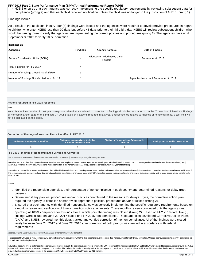NJEIS ensures that each agency was correctly implementing the specific regulatory requirements by reviewing subsequent data for compliance (prong 2) and that each child received notification unless the child was no longer in the jurisdiction of NJEIS (prong 1).

### Findings Issued:

As a result of the additional inquiry, four (4) findings were issued and the agencies were required to develop/revise procedures in regard to children who enter NJEIS less than 90 days but before 45 days prior to their third birthday. NJEIS will review subsequent children who would be turning three to verify the agencies are implementing the correct policies and procedures (prong 2). The agencies have until September 3, 2019 to verify 100% correction.

### **Indicator 8B**

| Agencies                                     | <b>Findings</b> | <b>Agency Name(s)</b>                    | Date of Finding                       |
|----------------------------------------------|-----------------|------------------------------------------|---------------------------------------|
| Service Coordination Units (SCUs)            | 4               | Gloucester, Middlesex, Union,<br>Passaic | September 4, 2018                     |
| Total Findings for FFY 2017                  | 4               |                                          |                                       |
| Number of Findings Closed As of 2/1/19       | 3               |                                          |                                       |
| Number of Findings Not Verified as of 2/1/19 |                 |                                          | Agencies have until September 3, 2019 |
|                                              |                 |                                          |                                       |

### **Actions required in FFY 2016 response**

### none

Note: Any actions required in last year's response table that are related to correction of findings should be responded to on the "Correction of Previous Findings of Noncompliance" page of this indicator. If your State's only actions required in last year's response are related to findings of noncompliance, a text field will not be displayed on this page.

### **Correction of Findings of Noncompliance Identified in FFY 2016**

| Findings of Noncompliance Identified | <b>Findings of Noncompliance Verified as</b><br><b>Corrected Within One Year</b> | <b>Findings of Noncompliance Subsequently</b><br>Corrected | <b>Findings Not Yet Verified as Corrected</b> |  |
|--------------------------------------|----------------------------------------------------------------------------------|------------------------------------------------------------|-----------------------------------------------|--|
|                                      |                                                                                  |                                                            |                                               |  |

### **FFY 2016 Findings of Noncompliance Verified as Corrected**

Describe how the State verified that the source of noncompliance is correctly implementing the regulatory requirements

Based on FFY 2016 data, five (5) agencies were found to have noncompliance for 8B. The five agencies were each given a finding issued on June 23, 2017. These agencies developed Correction Action Plans (CAPs) and NJEIS reviewed monthly data, tracked and verified correction of the noncompliance. All five (5) agencies corrected within one year of the finding.

NJEIS has accounted for all instances of noncompliance identified through the NJEIS desk inquiry and record review. Subsequent data were reviewed to verify timely notification. Activities for documentation and verification the correction include review of updated data from the database; faxed copies of progress notes and IFSPs from child records; verification of claims and service authorization data; and, in some cases, on-site visits to ver child records.

NJEIS:

- Identified the responsible agencies, their percentage of noncompliance in each county and determined reasons for delay (root causes).
- Determined if any policies, procedures and/or practices contributed to the reasons for delays. If yes, the corrective action plan required the agency to establish and/or revise appropriate policies, procedures and/or practices (Prong 2).
- Ensured that each agency with identified noncompliance was correctly implementing the specific regulatory requirements based on a monthly review and verification of timely transition notification events. These monthly reviews continued until the agency was operating at 100% compliance for this indicator at which point the finding was closed (Prong 2). Based on FFY 2016 data, five (5) findings were issued on June 23, 2017 based on FFY 2016 non-compliance. These agencies developed Corrective Action Plans (CAPs) and NJEIS reviewed monthly data, tracked and verified correction of the non-compliance. All of the findings were closed timely between June 24, 2017 and June 22, 2018 after correction of both prongs was verified in accordance with federal requirements.

Describe how the State verified that each individual case of noncompliance was corrected

The process NJEIS used to verify correction was comprehensive with data drill down to the child specific level. Subsequent data were reviewed to verify timely notification. Once an agency is operating at 100% compliance fo this indicator, the finding is closed.

NJEIS has accounted for all instances of non-compliance identified through the desk inquiry and record review. The DOH confirmed that notification to the SEA and the LEA where the toddler resides, consistent with the NJEIS opt-out policy, was provided at least 90 days prior to the toddlers third birthday for toddler potentially eligible for Part B preschool services. For any child whose notification did not occur in a timely manner, notifica provided unless the child was no longer in the jurisdiction of NJEIS, consistent with OSEP memo 09-02 (Prong 1).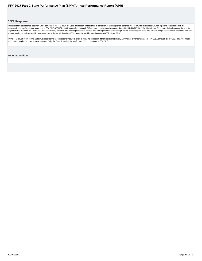### <span id="page-36-0"></span>**OSEP Response**

Because the State reported less than 100% compliance for FFY 2017, the State must report on the status of correction of noncompliance identified in FFY 2017 for this indicator. When reporting on the correction of<br>noncompli of noncompliance, unless the child is no longer within the jurisdiction of the EIS program or provider, consistent with OSEP Memo 09-02.

In the FFY 2018 SPP/APR, the State must describe the specific actions that were taken to verify the correction. If the State did not identify any findings of noncompliance in FFY 2017, although its FFY 2017 data reflect le

**Required Actions**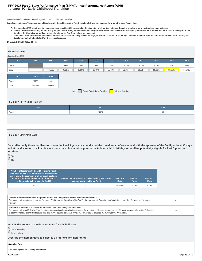### **Indicator 8C: Early Childhood Transition FFY 2017 Part C State Performance Plan (SPP)/Annual Performance Report (APR)**

### Monitoring Priority: Effective General Supervision Part C / Effective Transition

**Compliance indicator: The percentage of toddlers with disabilities exiting Part C with timely transition planning for whom the Lead Agency has:**

- **A. Developed an IFSP with transition steps and services at least 90 days, and at the discretion of all parties, not more than nine months, prior to the toddler's third birthday;**
- **Notified (consistent with any opt-out policy adopted by the State) the State educational agency (SEA) and the local educational agency (LEA) where the toddler resides at least 90 days prior to the B. toddler's third birthday for toddlers potentially eligible for Part B preschool services; and**
- C. Conducted the transition conference held with the approval of the family at least 90 days, and at the discretion of all parties, not more than nine months, prior to the toddler's third birthday for **toddlers potentially eligible for Part B preschool services.**

**(20 U.S.C. 1416(a)(3)(B) and 1442)**

### **Historical Data**

### Baseline Data: 2013

| <b>FFY</b>                                                 | 2004   | 2005   | 2006   | 2007   | 2008   | 2009   | 2010   | 2011   | 2012   | 2013   | 2014   |
|------------------------------------------------------------|--------|--------|--------|--------|--------|--------|--------|--------|--------|--------|--------|
| Target                                                     |        |        | 100%   | 100%   | 100%   | 100%   | 100%   | 100%   | 100%   | 100%   | 100%   |
| Data                                                       |        | 96.00% | 95.20% | 95.00% | 92.70% | 90.48% | 90.94% | 96.18% | 95.88% | 93.38% | 95.94% |
| <b>FFY</b>                                                 | 2015   | 2016   |        |        |        |        |        |        |        |        |        |
| Target                                                     | 100%   | 100%   |        |        |        |        |        |        |        |        |        |
| Data                                                       | 99.27% | 99.66% |        |        |        |        |        |        |        |        |        |
| Gray - Data Prior to Baseline<br>Key:<br>Yellow - Baseline |        |        |        |        |        |        |        |        |        |        |        |

### **FFY 2017 - FFY 2018 Targets**

| FFY    | 2017 | 2018 |
|--------|------|------|
| Target | 100% | 100% |
|        |      |      |

### **FFY 2017 SPP/APR Data**

**Data reflect only those toddlers for whom the Lead Agency has conducted the transition conference held with the approval of the family at least 90 days, and at the discretion of all parties, not more than nine months, prior to the toddler's third birthday for toddlers potentially eligible for Part B preschool services**

### Yes  $\bigcap_{\text{No}}$

| Number of toddlers with disabilities exiting Part C<br>where the transition conference occurred at least 90<br>days, and at the discretion of all parties at least nine<br>months prior to the toddler's third birthday for<br>toddlers potentially eligible for Part B | Number of toddlers with disabilities exiting Part C who<br>were potentially eligible for Part B | <b>FFY 2016</b><br>Data | <b>FFY 2017</b><br><b>Target</b> | <b>FFY 2017</b><br><b>Data</b> |
|-------------------------------------------------------------------------------------------------------------------------------------------------------------------------------------------------------------------------------------------------------------------------|-------------------------------------------------------------------------------------------------|-------------------------|----------------------------------|--------------------------------|
| 263                                                                                                                                                                                                                                                                     | 341                                                                                             | 99.66%                  | 100%                             | 100%                           |

| Number of toddlers for whom the parent did not provide approval for the transition conference<br>This number will be subtracted from the "Number of toddlers with disabilities exiting Part C who were potentially eligible for Part B" field to calculate the denominator for this<br>indicator.                                                                                                                                      | 52 |
|----------------------------------------------------------------------------------------------------------------------------------------------------------------------------------------------------------------------------------------------------------------------------------------------------------------------------------------------------------------------------------------------------------------------------------------|----|
| Number of documented delays attributable to exceptional family circumstances<br>This number will be added to the "Number of toddlers with disabilities exiting Part C where the transition conference occurred at least 90 days, and at the discretion of all parties<br>at least nine months prior to the toddler's third birthday for toddlers potentially eligible for Part B" field to calculate the numerator for this indicator. | 26 |

### **What is the source of the data provided for this indicator?**

State monitoring

State database

### **Describe the method used to select EIS programs for monitoring.**

### **Sampling Plan**

Data were reported for all twenty-one counties.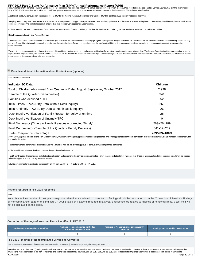## FFY 2017 Part C State Performance Plan (SPP)/Annual Performance Report (APR)<br>Data reported for 8C Transition Planning Conference (TPC) monitoring was collected through the annual desk audit record review process. Data repo

(e.g. NJEIS IFSP Review Transition Information and Team pages, progress notes, service encounter verifications; service authorizations and TPC invitation letter/emails).

A data desk audit was conducted on one quarter of FFY 2017 for the months of August, September and October 2017 that identified 2,998 children that turned age three.

Sampling methodology was implemented to ensure that the NJEIS population is appropriately represented based on the population size of the state. Therefore, a simple random sampling plan without replacement with a 95% confidence level and +/-5 confidence interval ensures that child records were appropriately represented.

Of the 2,998 children, a random selection of 341 children were monitored. Of the 341 children, 52 families declined the TPC, reducing the total number of records monitored to 289 children.

### **Data Desk Audit, Inquiry and Record Review**

The NJEIS used two sources of data from the database: (1) date of the TPC obtained from the team page signed by the parent; and (2) date of the TPC recorded from the service coordinator verification log. The monitoring team confirmed this data through desk audit analysis using the state database. Based on these dates, and the child's date of birth, an inquiry was prepared and forwarded to the appropriate county to review possible non-compliance.

The monitoring team conducted a drill down to obtain child specific information, reasons for delays and verification of a transition planning conference, although late. The Service Coordination Units were required to submi copies of child progress notes, TPC and LEA notification letters, IFSPs, and service encounter verification logs. The monitoring team used all the information received and reviewed service claim data to determine where in the process the delay occurred and who was responsible.

### **Provide additional information about this indicator (optional)**

Data Analysis and Results

| <b>Indicator 8C Data</b>                                                            | <b>Children</b>  |
|-------------------------------------------------------------------------------------|------------------|
| Total of Children who turned 3 for Quarter of Data: August, September, October 2017 | 2,998            |
| Sample of the Quarter (Denominator)                                                 | 341              |
| Families who declined a TPC                                                         | 52               |
| Initial Timely TPCs (Dirty Data without Desk Inquiry)                               | 263              |
| Initial Untimely TPCs (Dirty Data withouth Desk Inquiry)                            | 26               |
| Desk Inquiry Verification of Family Reason for delay or on time                     | 26               |
| Desk Inquiry Verification of Untimely TPC                                           | 0                |
| Final Numerator (Timely + Family Reasons + corrected Timely)                        | 263+26=289       |
| Final Denominator (Sample of the Quarter - Family Declines)                         | $341 - 52 = 289$ |
| State Compliance Percentage                                                         | 289/289=100%     |

100% (289/289) of all children exiting Part C received timely transition planning to support their transition to preschool and other appropriate community services by their third birthday including a transition conference the required timeline.

The numberator and denominator does not include the 52 families who did not provide approval to conduct a transition planning conference.

Of the 289 children, 263 were timely and 26 were delayed due to family reasons.

The 26 family-initiated reasons were included in the calculation and documented in service coordinator notes. Family reasons included family vactions, child illness or hospitalization, family response time, family not keep scheduled appointments and family requested delays.

NJEIS performance for this indicator increased by 0.34% from 99.66% in FFY 2016 to 100% in FFY 2017.

### **Actions required in FFY 2016 response**

none

Note: Any actions required in last year's response table that are related to correction of findings should be responded to on the "Correction of Previous Findings of Noncompliance" page of this indicator. If your State's only actions required in last year's response are related to findings of noncompliance, a text field will not be displayed on this page.

### **Correction of Findings of Noncompliance Identified in FFY 2016**

| <b>Findings of Noncompliance Identified</b> | <b>Findings of Noncompliance Verified as</b><br>Corrected Within One Year | <b>Findings of Noncompliance Subsequently</b><br>Corrected | <b>Findings Not Yet Verified as Corrected</b> |  |  |
|---------------------------------------------|---------------------------------------------------------------------------|------------------------------------------------------------|-----------------------------------------------|--|--|
|                                             |                                                                           |                                                            |                                               |  |  |

### **FFY 2016 Findings of Noncompliance Verified as Corrected**

Describe how the State verified that the source of noncompliance is correctly implementing the regulatory requirements

Based on FFY 2016 data, one (1) finding was issued to Ocean SCU on June 23, 2017 based on FFY 2016 non-compliance. This agency developed a Corrective Action Plan (CAP) and NJEIS reviewed subsequent data, tracked and verified correction of the non-compliance. The finding was closed timely between June 24, 2017 and June 22, 2018 after correction of both prongs was verified in accordance with federal requirements. 6/19/2019 Page 39 of 49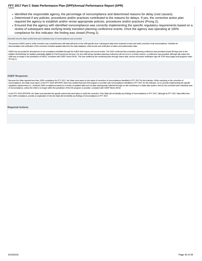# <span id="page-39-0"></span>**FFY 2017 Part C State Performance Plan (SPP)/Annual Performance Report (APR)**<br><sup>NJEIS:</sup>

- Identified the responsible agency, the percentage of noncompliance and determined reasons for delay (root causes);
- Determined if any policies, procedures and/or practices contributed to the reasons for delays. If yes, the corrective action plan required the agency to establish and/or revise appropriate policies, procedures and/or practices (Prong 2);
- Ensured that the agency with identified noncompliance was correctly implementing the specific regulatory requirements based on a review of subsequent data verifying timely transition planning conference events. Once the agency was operating at 100% compliance for this indicator, the finding was closed (Prong 2).

Describe how the State verified that each individual case of noncompliance was corrected

The process NJEIS used to verify correction was comprehensive with data drill down to the child specific level. Subsequent data were reviewed to track and verify correction of all noncompliance. Activities for documentation and verification of the correction included updated data from the state database, child records and verification of claims and authorization data.

NJEIS has accounted for all instances of non-compliance identified through the NJEIS desk inquiry and record review. The DOH confirmed that a transition planning conference was provided at least 90 days prior to the toddlers third birthday for toddlers potentially eligible for Part B preschool services. For any child whose transition planning conference did not occur in a timely manner, a conference was provided, although late unless child was no longer in the jurisdiction of NJEIS, consistent with OSEP memo 09-02. This was verified by the monitoring team through claims data, service encounter verification sign-off, IFSP team pages and progress notes (Prong 1).

### **OSEP Response**

Because the State reported less than 100% compliance for FFY 2017, the State must report on the status of correction of noncompliance identified in FFY 2017 for this indicator. When reporting on the correction of noncompliance, the State must report, in the FFY 2018 SPP/APR, that it has verified that each EIS program or provider with noncompliance identified in FFY 2017 for this indicator: (1) is correctly implementing the specific regulatory requirements (i.e., achieved 100% compliance) based on a review of updated data such as data subsequently collected through on-site monitoring or a State data system; and (2) has corrected each individual case of noncompliance, unless the child is no longer within the jurisdiction of the EIS program or provider, consistent with OSEP Memo 09-02.

In the FFY 2018 SPP/APR, the State must describe the specific actions that were taken to verify the correction. If the State id not identify any findings of noncompliance in FFY 2017, although its FFY 2017 data reflect les than 100% compliance, provide an explanation of why the State did not identify any findings of noncompliance in FFY 2017.

**Required Actions**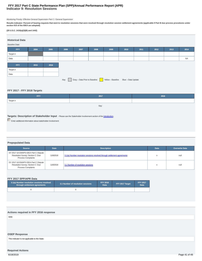### **Indicator 9: Resolution Sessions FFY 2017 Part C State Performance Plan (SPP)/Annual Performance Report (APR)**

Monitoring Priority: Effective General Supervision Part C / General Supervision

Results indicator: Percent of hearing requests that went to resolution sessions that were resolved through resolution session settlement agreements (applicable if Part B due process procedures under<br>section 615 of the IDEA

### **(20 U.S.C. 1416(a)(3)(B) and 1442)**

| <b>Historical Data</b><br><b>Baseline Data:</b> |                                                                               |      |      |      |      |      |      |      |      |      |           |
|-------------------------------------------------|-------------------------------------------------------------------------------|------|------|------|------|------|------|------|------|------|-----------|
| <b>FFY</b>                                      | 2004                                                                          | 2005 | 2006 | 2007 | 2008 | 2009 | 2010 | 2011 | 2012 | 2013 | 2014      |
| Target $\geq$                                   |                                                                               |      |      |      |      |      |      |      |      |      |           |
| Data                                            |                                                                               |      |      |      |      |      |      |      |      |      | <b>NA</b> |
| <b>FFY</b>                                      | 2015                                                                          | 2016 |      |      |      |      |      |      |      |      |           |
| Target $\geq$                                   |                                                                               |      |      |      |      |      |      |      |      |      |           |
| Data                                            |                                                                               |      |      |      |      |      |      |      |      |      |           |
|                                                 | Gray - Data Prior to Baseline<br>Yellow - Baseline Blue - Data Update<br>Key: |      |      |      |      |      |      |      |      |      |           |

### **FFY 2017 - FFY 2018 Targets**

| FFY                                                                                                             | 2017 | 2018 |  |  |  |  |  |  |  |
|-----------------------------------------------------------------------------------------------------------------|------|------|--|--|--|--|--|--|--|
| Target $\geq$                                                                                                   |      |      |  |  |  |  |  |  |  |
| Key:                                                                                                            |      |      |  |  |  |  |  |  |  |
|                                                                                                                 |      |      |  |  |  |  |  |  |  |
| Targets: Description of Stakeholder Input - Please see the Stakeholder Involvement section of the introduction. |      |      |  |  |  |  |  |  |  |
| Enter additional information about stakeholder involvement                                                      |      |      |  |  |  |  |  |  |  |

### **Prepopulated Data**

| <b>Source</b>                                                                                          | <b>Date</b> | <b>Description</b>                                                       | <b>Data</b> | <b>Overwrite Data</b> |
|--------------------------------------------------------------------------------------------------------|-------------|--------------------------------------------------------------------------|-------------|-----------------------|
| SY 2017-18 EMAPS IDEA Part C Dispute<br>Resolution Survey; Section C: Due<br><b>Process Complaints</b> | 11/8/2018   | 3.1(a) Number resolution sessions resolved through settlement agreements | n           | null                  |
| SY 2017-18 EMAPS IDEA Part C Dispute<br>Resolution Survey; Section C: Due<br><b>Process Complaints</b> | 11/8/2018   | 3.1 Number of resolution sessions                                        | n           | null                  |

### **FFY 2017 SPP/APR Data**

| 3.1(a) Number resolution sessions resolved<br>through settlement agreements | 3.1 Number of resolution sessions | <b>FFY 2016</b><br>Data <sup>1</sup> | FFY 2017 Target | <b>FFY 2017</b><br>Data |
|-----------------------------------------------------------------------------|-----------------------------------|--------------------------------------|-----------------|-------------------------|
|                                                                             |                                   |                                      |                 |                         |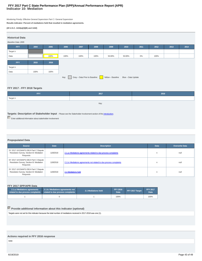### **Indicator 10: Mediation FFY 2017 Part C State Performance Plan (SPP)/Annual Performance Report (APR)**

Monitoring Priority: Effective General Supervision Part C / General Supervision

**Results indicator: Percent of mediations held that resulted in mediation agreements.**

### **(20 U.S.C. 1416(a)(3)(B) and 1442)**

| <b>Historical Data</b> |                                                                            |      |      |      |      |        |        |       |      |      |      |
|------------------------|----------------------------------------------------------------------------|------|------|------|------|--------|--------|-------|------|------|------|
|                        |                                                                            |      |      |      |      |        |        |       |      |      |      |
| Baseline Data: 2005    |                                                                            |      |      |      |      |        |        |       |      |      |      |
| <b>FFY</b>             | 2004                                                                       | 2005 | 2006 | 2007 | 2008 | 2009   | 2010   | 2011  | 2012 | 2013 | 2014 |
| Target $\geq$          |                                                                            |      |      |      |      |        |        |       |      |      |      |
| Data                   |                                                                            | 100% | 100% | 100% | 100% | 50.00% | 50.00% | $0\%$ | 100% |      |      |
| <b>FFY</b>             | 2015                                                                       | 2016 |      |      |      |        |        |       |      |      |      |
| Target $\geq$          |                                                                            |      |      |      |      |        |        |       |      |      |      |
| Data                   | 100%                                                                       | 100% |      |      |      |        |        |       |      |      |      |
|                        | Gray - Data Prior to Baseline Yellow - Baseline Blue - Data Update<br>Key: |      |      |      |      |        |        |       |      |      |      |

### **FFY 2017 - FFY 2018 Targets**

| <b>FFY</b>               | 2017 | 2018 |  |  |
|--------------------------|------|------|--|--|
| $\sqrt{7}$ Target $\geq$ |      |      |  |  |
| Key:                     |      |      |  |  |

### **Targets: Description of Stakeholder Input** - Please see the Stakeholder Involvement section of the *introduction*.

Enter additional information about stakeholder involvement

### **Prepopulated Data**

| <b>Source</b>                                                                               | <b>Date</b> | <b>Description</b>                                                  | <b>Data</b> | <b>Overwrite Data</b> |
|---------------------------------------------------------------------------------------------|-------------|---------------------------------------------------------------------|-------------|-----------------------|
| SY 2017-18 EMAPS IDEA Part C Dispute<br>Resolution Survey; Section B: Mediation<br>Requests | 11/8/2018   | 2.1.a. iMediations agreements related to due process complaints     | n           | null                  |
| SY 2017-18 EMAPS IDEA Part C Dispute<br>Resolution Survey; Section B: Mediation<br>Requests | 11/8/2018   | 2.1.b. iMediations agreements not related to due process complaints | n           | null                  |
| SY 2017-18 EMAPS IDEA Part C Dispute<br>Resolution Survey; Section B: Mediation<br>Requests | 11/8/2018   | 2.1 Mediations held                                                 | n           | null                  |

| FFY 2017 SPP/APR Data |  |  |  |  |
|-----------------------|--|--|--|--|
|-----------------------|--|--|--|--|

| 2.1.a.i Mediations agreements<br>related to due process complaints related to due process complaints | 2.1.b. Mediations agreements not | 2.1 Mediations held | <b>FFY 2016</b><br>Data | FFY 2017 Target | <b>FFY 2017</b><br>Data <sup>1</sup> |
|------------------------------------------------------------------------------------------------------|----------------------------------|---------------------|-------------------------|-----------------|--------------------------------------|
|                                                                                                      |                                  |                     | 100%                    |                 | 100%                                 |

### **Provide additional information about this indicator (optional)**

Targets were not set for this indicator because the total number of mediations received in 2017-2018 was one (1).

### **Actions required in FFY 2016 response**

none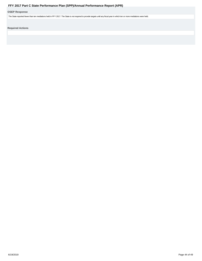### <span id="page-43-0"></span>**OSEP Response**

The State reported fewer than ten mediations held in FFY 2017. The State is not required to provide targets until any fiscal year in which ten or more mediations were held.

**Required Actions**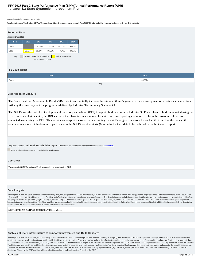### **Indicator 11: State Systemic Improvement Plan FFY 2017 Part C State Performance Plan (SPP)/Annual Performance Report (APR)**

### Monitoring Priority: General Supervision

**Results indicator: The State's SPP/APR includes a State Systemic Improvement Plan (SSIP) that meets the requirements set forth for this indicator.**

| <b>Reported Data</b>                                                       |        |        |        |        |        |
|----------------------------------------------------------------------------|--------|--------|--------|--------|--------|
| Baseline Data: 2013                                                        |        |        |        |        |        |
| <b>FFY</b>                                                                 | 2013   | 2014   | 2015   | 2016   | 2017   |
| Target                                                                     |        | 38.15% | 39.85% | 41.55% | 43.25% |
| Data                                                                       | 38.15% | 39.87% | 39.63% | 43.34% | 39.17% |
| Key: Gray - Data Prior to Baseline Yellow - Baseline<br>Blue - Data Update |        |        |        |        |        |
|                                                                            |        |        |        |        |        |

### **FFY 2018 Target**

| EEV    | 2018   |
|--------|--------|
| Target | 45.00% |
|        | Key:   |

### **Description of Measure**

The State Identified Measureable Result (SIMR) is to substantially increase the rate of children's growth in their development of positive social emotional skills by the time they exit the program as defined by Indicator 3A Summary Statement 1.

The NJEIS uses the Battelle Developmental Inventory 2nd edition (BDI) to report child outcomes in Indicator 3. Each referred child is evaluated using the BDI. For each eligible child, the BDI serves as their baseline measurement for child outcome reporting and upon exit from the program children are evaluated again using the BDI. This provides a pre-post measure for determining the child's progress category for each child in each of the three child outcome measures. Children must participate in the NJEIS for at least six (6) months for their data to be included in the Indicator 3 report.

### **Targets: Description of Stakeholder Input** - Please see the Stakeholder Involvement section of the introduction.

**Enter additional information about stakeholder involvement** 

### **Overview**

The completed SSIP for Indicator 11 will be added on or before April 1, 2019

### **Data Analysis**

A description of how the State identified and analyzed key data, including data from SPP/APR indicators, 618 data collections, and other available data as applicable, to: (1) select the State-identified Measurable Result(s Infants and Toddlers with Disabilities and their Families, and (2) identify root causes contributing to low performance. The description must include information about how the data were disaggregated by multiple variables EIS program and/or EIS provider, geographic region, race/ethnicity, socioeconomic status, gender, etc.) As part of its data analysis, the State should also consider compliance data and whether those data present potential barriers to improvement. In addition, if the State identifies any concerns about the quality of the data, the description must include how the State will address these concerns. Finally, if additional data are needed, the should include the methods and timelines to collect and analyze the additional data.

See Complete SSIP as attached April 1, 2019

### **Analysis of State Infrastructure to Support Improvement and Build Capacity**

A description of how the State analyzed the capacity of its current tirfrastructure to support improvement and build capacity in EIS programs and/or EIS providers to implement, scale up, and sustain the use of evidence-bas practices to improve results for infants and toddlers with disabilities and their families. State systems that make up its infrastructure include, at a minimum: governance, fiscal, quality standards, professional developme technical assistance, and accountability/monitoring. The description must include current strengths of the systems, the extent the systems are coordinated, and areas for improvement of functioning within and across the sys The State must also identify current State-level improvement plans and other early learning initiatives, such as Race to the Top-Early Learning Challenge and the Home Visiting program and describe the extent that these new initiatives are aligned, and how they are, or could be, integrated with, the SSIP. Finally, the State should identify representatives (e.g., offices, agencies, positions, individuals, and other stakeholders) that were invo developing Phase I of the SSIP and that will be involved in developing and implementing Phase II of the SSIP.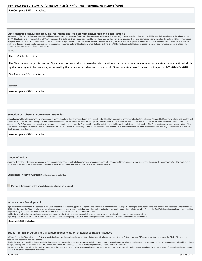See Complete SSIP as attached.

### **State-identified Measurable Result(s) for Infants and Toddlers with Disabilities and Their Families**

A statement of the result(s) the State intends to achieve through the implementation of the SSIP. The State-identified Measurable Result(s) for Infants and Toddlers with Disabilities and their Families must be aligned to a SPP/APR indicator or a component of an SPP/APR indicator. The State-identified Measurable Result(s) for Infants and Toddlers with Disabilities and their Families must be clearly based on the Data and State Infrastructure Analyses and must be a child- or family-level outcome in contrast to a process outcome. The State may select a single result (e.g., increase the rate of growth in infants and toddlers demonstrating positive social-emotiona skills) or a cluster of related results (e.g., increase the percentage reported under child outcome B under Indicator 3 of the SPP/APR (knowledge and skills) and increase the percentage trend reported for families under Indicator 4 (helping their child develop and learn)).

Statement

### The SIMR for NJEIS is:

The New Jersey Early Intervention System will substantially increase the rate of children's growth in their development of positive social emotional skills by the time thy exit the program, as defined by the targets established for Indicator 3A, Summary Statement 1 in each of the years FFY 201-FFY2018.

### See Complete SSIP as attached.

Description

See Complete SSIP as attached.

### **Selection of Coherent Improvement Strategies**

An explanation of how the improvement strategies were selected, and why they are sound, logical and aligned, and will lead to a measurable improvement in the State-identified Measurable Result(s) for Infants and Toddlers w Disabilities and their Families. The improvement strategies should include the strategies, identified through the Data and State Infrastructure Analyses, that are needed to improve the State infrastructure and to support EIS program and/or EIS provider implementation of evidence-based practices to improve the State-identified result(s) for infants and toddlers with disabilities and their families. The State must describe how implementation of improvement strategies will address identified root causes for low performance and ultimately build EIS program and/or EIS provider capacity to achieve the State-identified Measurable Result(s) for Infants and Toddlers with Disabilities and their Families.

See Complete SSIP as attached.

### **Theory of Action**

A graphic illustration that shows the rationale of how implementing the coherent set of improvement strategies selected will increase the State's capacity to lead meaningful change in EIS programs and/or EIS providers, and achieve improvement in the State-identified Measurable Result(s) for Infants and Toddlers with Disabilities and their Families.

**Submitted Theory of Action: No Theory of Action Submitted** 

**Provide a description of the provided graphic illustration (optional)** 

### **Infrastructure Development**

(a) Specify improvements that will be made to the State infrastructure to better support EIS programs and providers to implement and scale up EBPs to improve results for infants and toddlers with disabilities and their fam (b) Identify the steps the State will take to further align and leverage current improvement plans and other early learning initiatives and programs in the State, including Race to the Top-Early Learning Challenge, Home Vi Program, Early Head Start and others which impact infants and toddlers with disabilities and their families.

(c) Identify who will be in charge of implementing the changes to infrastructure, resources needed, expected outcomes, and timelines for completing improvement efforts.

(d) Specify how the State will involve multiple offices within the State Lead Agency, as well as other State agencies and stakeholders in the improvement of its infrastructure.

See complete SSIP as attached.

### **Support for EIS programs and providers Implementation of Evidence-Based Practices**

(a) Specify how the State will support EIS providers in implementing the evidence-based practices that will result in changes in Lead Agency, EIS program, and EIS provider practices to achieve the SIMR(s) for infants and toddlers with disabilities and their families.

(b) Identify steps and specific activities needed to implement the coherent improvement strategies, including communication strategies and stakeholder involvement; how identified barriers will be addressed; who will be in of implementing; how the activities will be implemented with fidelity; the resources that will be used to implement them; and timelines for completion.

(c) Specify how the State will involve multiple offices within the Lead Agency (and other State agencies such as the SEA) to support EIS providers in scaling up and sustaining the implementation of the evidence-based pract once they have been implemented with fidelity.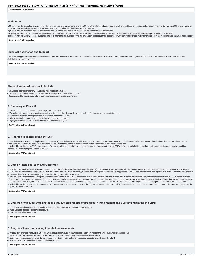See complete SSIP as attached

### **Evaluation**

(a) Specify how the evaluation is aligned to the theory of action and other components of the SSIP and the extent to which it includes short-term and long-term objectives to measure implementation of the SSIP and its impac achieving measurable improvement in SIMR(s) for infants and toddlers with disabilities and their families.

(b) Specify how the evaluation includes stakeholders and how information from the evaluation will be disseminated to stakeholders.

(c) Specify the methods that the State will use to collect and analyze data to evaluate implementation and outcomes of the SSIP and the progress toward achieving intended improvements in the SIMR(s).

(d) Specify how the State will use the evaluation data to examine the effectiveness of the implementation; assess the State's progress toward achieving intended improvements; and to make modifications to the SSIP as necess

See complete SSIP as attached

### **Technical Assistance and Support**

Describe the support the State needs to develop and implement an effective SSIP. Areas to consider include: Infrastructure development; Support for EIS programs and providers implementation of EBP; Evaluation; and Stakeholder involvement in Phase II.

See complete SSIP as attached

### **Phase III submissions should include:**

• Data-based justifications for any changes in implementation activities.

- Data to support that the State is on the right path, if no adjustments are being proposed.
- Descriptions of how stakeholders have been involved, including in decision-making.

### **A. Summary of Phase 3**

1. Theory of action or logic model for the SSIP, including the SiMR.

2. The coherent improvement strategies or principle activities employed during the year, including infrastructure improvement strategies.

3. The specific evidence-based practices that have been implemented to date.

4. Brief overview of the year's evaluation activities, measures, and outcomes. 5. Highlights of changes to implementation and improvement strategies.

See Complete SSIP as attached

### **B. Progress in Implementing the SSIP**

1. Description of the State's SSIP implementation progress: (a) Description of extent to which the State has carried out its planned activities with fidelity—what has been accomplished, what milestones have been met, and whether the intended timeline has been followed and (b) Intended outputs that have been accomplished as a result of the implementation activities 2. Stakeholder involvement in SSIP implementation: (a) How stakeholders have been informed of the ongoing implementation of the SSIP and (b) How stakeholders have had a voice and been involved in decision-making regarding the ongoing implementation of the SSIP.

See Complete SSIP as attached

### **C. Data on Implementation and Outcomes**

1. How the State monitored and measured outputs to assess the effectiveness of the implementation plan: (a) How evaluation measures align with the theory of action, (b) Data sources for each key measure, (c) Description of baseline data for key measures, (d) Data collection procedures and associated timelines, (e) [If applicable] Sampling procedures, (f) [If appropriate] Planned data comparisons, and (g) How data management and data analysis procedures allow for assessment of progress toward achieving intended improvements

2. How the State has demonstrated progress and made modifications to the SSIP as necessary: (a) How the State has reviewed key data that provide evidence regarding progress toward achieving intended improvements to infrastructure and the SiMR, (b) Evidence of change to baseline data for key measures, (c) How data support changes that have been made to implementation and improvement strategies, (d) How data are informing next steps in the SSIP implementation, and (e) How data support planned modifications to intended outcomes (including the SIMR)—rationale or justification for the changes or how data support that the SSIP is on the right path 3. Stakeholder involvement in the SSIP evaluation: (a) How stakeholders have been informed of the ongoing evaluation of the SSIP and (b) How stakeholders have had a voice and been involved in decision-making regarding the ongoing evaluation of the SSIP

See Complete SSIP as attached

### **D. Data Quality Issues: Data limitations that affected reports of progress in implementing the SSIP and achieving the SIMR**

1. Concern or limitations related to the quality or quantity of the data used to report progress or results

2. Implications for assessing progress or results 3. Plans for improving data quality

See Complete SSIP as attached

### **E. Progress Toward Achieving Intended Improvements**

1. Infrastructure changes that support SSIP initiatives, including how system changes support achievement of the SiMR, sustainability, and scale-up

2. Evidence that SSIP's evidence-based practices are being carried out with fidelity and having the desired effects

3. Outcomes regarding progress toward short-term and long-term objectives that are necessary steps toward achieving the SIMR

4. Measurable improvements in the SIMR in relation to targets

See Complete SSIP as attached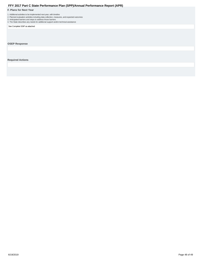# <span id="page-47-0"></span>**FFY 2017 Part C State Performance Plan (SPP)/Annual Performance Report (APR)**<br> **R.** Plans for Next Year<br>
1. Additional activities to be implemented next year, with timeline<br>
2. Planned evaluation activities inducting data

**F. Plans for Next Year**

1. Additional activities to be implemented next year, with timeline<br>2. Planned evaluation activities including data collection, measures, and expected outcomes<br>3. Anticipated barriers and steps to address those barriers<br>4.

See Complete SSIP as attached

**OSEP Response**